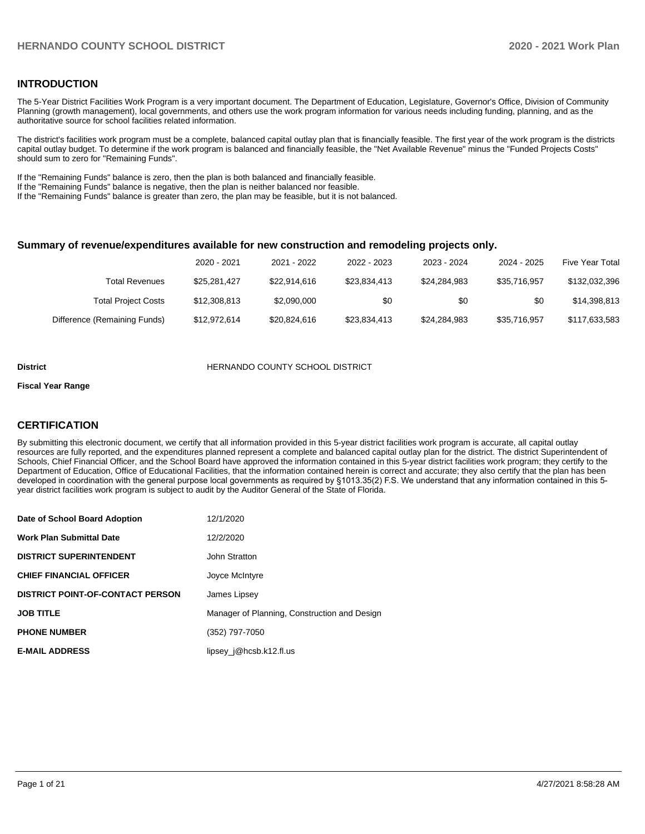#### **INTRODUCTION**

The 5-Year District Facilities Work Program is a very important document. The Department of Education, Legislature, Governor's Office, Division of Community Planning (growth management), local governments, and others use the work program information for various needs including funding, planning, and as the authoritative source for school facilities related information.

The district's facilities work program must be a complete, balanced capital outlay plan that is financially feasible. The first year of the work program is the districts capital outlay budget. To determine if the work program is balanced and financially feasible, the "Net Available Revenue" minus the "Funded Projects Costs" should sum to zero for "Remaining Funds".

If the "Remaining Funds" balance is zero, then the plan is both balanced and financially feasible.

If the "Remaining Funds" balance is negative, then the plan is neither balanced nor feasible.

If the "Remaining Funds" balance is greater than zero, the plan may be feasible, but it is not balanced.

#### **Summary of revenue/expenditures available for new construction and remodeling projects only.**

| <b>Five Year Total</b> | 2024 - 2025  | 2023 - 2024  | 2022 - 2023  | 2021 - 2022  | 2020 - 2021  |                              |
|------------------------|--------------|--------------|--------------|--------------|--------------|------------------------------|
| \$132,032,396          | \$35.716.957 | \$24.284.983 | \$23.834.413 | \$22,914,616 | \$25.281.427 | Total Revenues               |
| \$14,398,813           | \$0          | \$0          | \$0          | \$2,090,000  | \$12,308,813 | <b>Total Project Costs</b>   |
| \$117,633,583          | \$35,716,957 | \$24.284.983 | \$23,834,413 | \$20,824,616 | \$12,972,614 | Difference (Remaining Funds) |

#### **District COUNTY SCHOOL DISTRICT**

#### **Fiscal Year Range**

### **CERTIFICATION**

By submitting this electronic document, we certify that all information provided in this 5-year district facilities work program is accurate, all capital outlay resources are fully reported, and the expenditures planned represent a complete and balanced capital outlay plan for the district. The district Superintendent of Schools, Chief Financial Officer, and the School Board have approved the information contained in this 5-year district facilities work program; they certify to the Department of Education, Office of Educational Facilities, that the information contained herein is correct and accurate; they also certify that the plan has been developed in coordination with the general purpose local governments as required by §1013.35(2) F.S. We understand that any information contained in this 5 year district facilities work program is subject to audit by the Auditor General of the State of Florida.

| Date of School Board Adoption           | 12/1/2020                                    |
|-----------------------------------------|----------------------------------------------|
| <b>Work Plan Submittal Date</b>         | 12/2/2020                                    |
| <b>DISTRICT SUPERINTENDENT</b>          | John Stratton                                |
| <b>CHIEF FINANCIAL OFFICER</b>          | Joyce McIntyre                               |
| <b>DISTRICT POINT-OF-CONTACT PERSON</b> | James Lipsey                                 |
| <b>JOB TITLE</b>                        | Manager of Planning, Construction and Design |
| <b>PHONE NUMBER</b>                     | (352) 797-7050                               |
| <b>E-MAIL ADDRESS</b>                   | lipsey $j@$ hcsb.k12.fl.us                   |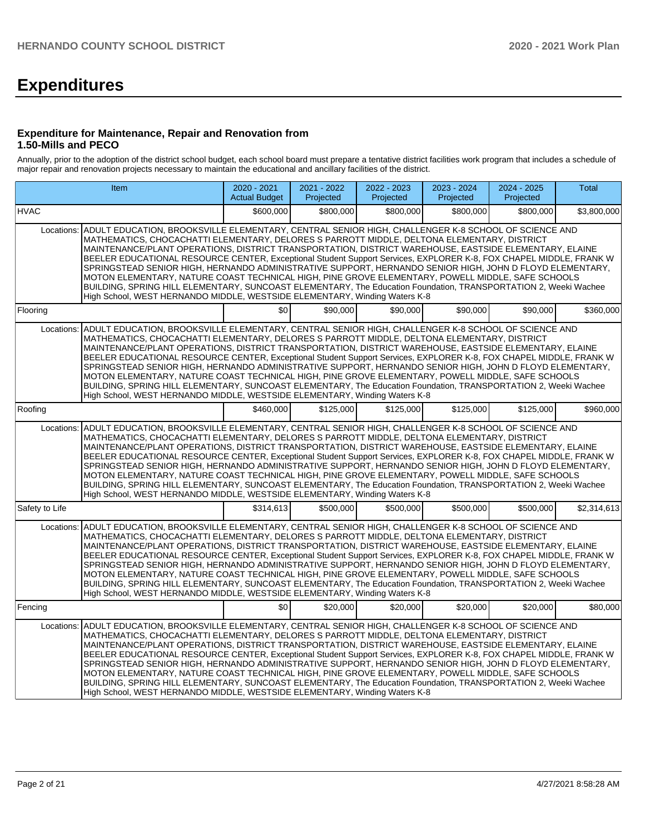# **Expenditures**

#### **Expenditure for Maintenance, Repair and Renovation from 1.50-Mills and PECO**

Annually, prior to the adoption of the district school budget, each school board must prepare a tentative district facilities work program that includes a schedule of major repair and renovation projects necessary to maintain the educational and ancillary facilities of the district.

| <b>Item</b>                                                                                                                                                                                                                                                                                                                                                                                                                                                                                                                                                                                                                                                                                                                                                                                                                                                       | $2020 - 2021$<br><b>Actual Budget</b> | 2021 - 2022<br>Projected | $2022 - 2023$<br>Projected | 2023 - 2024<br>Projected | $2024 - 2025$<br>Projected | <b>Total</b> |  |  |  |  |  |
|-------------------------------------------------------------------------------------------------------------------------------------------------------------------------------------------------------------------------------------------------------------------------------------------------------------------------------------------------------------------------------------------------------------------------------------------------------------------------------------------------------------------------------------------------------------------------------------------------------------------------------------------------------------------------------------------------------------------------------------------------------------------------------------------------------------------------------------------------------------------|---------------------------------------|--------------------------|----------------------------|--------------------------|----------------------------|--------------|--|--|--|--|--|
| <b>HVAC</b>                                                                                                                                                                                                                                                                                                                                                                                                                                                                                                                                                                                                                                                                                                                                                                                                                                                       | \$600,000                             | \$800,000                | \$800,000                  | \$800.000                | \$800,000                  | \$3,800,000  |  |  |  |  |  |
| ADULT EDUCATION, BROOKSVILLE ELEMENTARY, CENTRAL SENIOR HIGH, CHALLENGER K-8 SCHOOL OF SCIENCE AND<br>Locations:<br>MATHEMATICS, CHOCACHATTI ELEMENTARY, DELORES S PARROTT MIDDLE, DELTONA ELEMENTARY, DISTRICT<br>MAINTENANCE/PLANT OPERATIONS, DISTRICT TRANSPORTATION, DISTRICT WAREHOUSE, EASTSIDE ELEMENTARY, ELAINE<br>BEELER EDUCATIONAL RESOURCE CENTER, Exceptional Student Support Services, EXPLORER K-8, FOX CHAPEL MIDDLE, FRANK W<br>SPRINGSTEAD SENIOR HIGH, HERNANDO ADMINISTRATIVE SUPPORT, HERNANDO SENIOR HIGH, JOHN D FLOYD ELEMENTARY,<br>MOTON ELEMENTARY, NATURE COAST TECHNICAL HIGH, PINE GROVE ELEMENTARY, POWELL MIDDLE, SAFE SCHOOLS<br>BUILDING, SPRING HILL ELEMENTARY, SUNCOAST ELEMENTARY, The Education Foundation, TRANSPORTATION 2, Weeki Wachee<br>High School, WEST HERNANDO MIDDLE, WESTSIDE ELEMENTARY, Winding Waters K-8 |                                       |                          |                            |                          |                            |              |  |  |  |  |  |
| Flooring                                                                                                                                                                                                                                                                                                                                                                                                                                                                                                                                                                                                                                                                                                                                                                                                                                                          | \$0                                   | \$90,000                 | \$90,000                   | \$90,000                 | \$90,000                   | \$360,000    |  |  |  |  |  |
| ADULT EDUCATION, BROOKSVILLE ELEMENTARY, CENTRAL SENIOR HIGH, CHALLENGER K-8 SCHOOL OF SCIENCE AND<br>Locations:<br>MATHEMATICS, CHOCACHATTI ELEMENTARY, DELORES S PARROTT MIDDLE, DELTONA ELEMENTARY, DISTRICT<br>MAINTENANCE/PLANT OPERATIONS, DISTRICT TRANSPORTATION, DISTRICT WAREHOUSE, EASTSIDE ELEMENTARY, ELAINE<br>BEELER EDUCATIONAL RESOURCE CENTER, Exceptional Student Support Services, EXPLORER K-8, FOX CHAPEL MIDDLE, FRANK W<br>SPRINGSTEAD SENIOR HIGH, HERNANDO ADMINISTRATIVE SUPPORT, HERNANDO SENIOR HIGH, JOHN D FLOYD ELEMENTARY,<br>MOTON ELEMENTARY, NATURE COAST TECHNICAL HIGH, PINE GROVE ELEMENTARY, POWELL MIDDLE, SAFE SCHOOLS<br>BUILDING, SPRING HILL ELEMENTARY, SUNCOAST ELEMENTARY, The Education Foundation, TRANSPORTATION 2, Weeki Wachee<br>High School, WEST HERNANDO MIDDLE, WESTSIDE ELEMENTARY, Winding Waters K-8 |                                       |                          |                            |                          |                            |              |  |  |  |  |  |
| Roofing                                                                                                                                                                                                                                                                                                                                                                                                                                                                                                                                                                                                                                                                                                                                                                                                                                                           | \$460.000                             | \$125.000                | \$125,000                  | \$125,000                | \$125,000                  | \$960,000    |  |  |  |  |  |
| ADULT EDUCATION, BROOKSVILLE ELEMENTARY, CENTRAL SENIOR HIGH, CHALLENGER K-8 SCHOOL OF SCIENCE AND<br>Locations:<br>MATHEMATICS, CHOCACHATTI ELEMENTARY, DELORES S PARROTT MIDDLE, DELTONA ELEMENTARY, DISTRICT<br>MAINTENANCE/PLANT OPERATIONS, DISTRICT TRANSPORTATION, DISTRICT WAREHOUSE, EASTSIDE ELEMENTARY, ELAINE<br>BEELER EDUCATIONAL RESOURCE CENTER, Exceptional Student Support Services, EXPLORER K-8, FOX CHAPEL MIDDLE, FRANK W<br>SPRINGSTEAD SENIOR HIGH, HERNANDO ADMINISTRATIVE SUPPORT, HERNANDO SENIOR HIGH, JOHN D FLOYD ELEMENTARY,<br>MOTON ELEMENTARY, NATURE COAST TECHNICAL HIGH, PINE GROVE ELEMENTARY, POWELL MIDDLE, SAFE SCHOOLS<br>BUILDING, SPRING HILL ELEMENTARY, SUNCOAST ELEMENTARY, The Education Foundation, TRANSPORTATION 2, Weeki Wachee<br>High School, WEST HERNANDO MIDDLE, WESTSIDE ELEMENTARY, Winding Waters K-8 |                                       |                          |                            |                          |                            |              |  |  |  |  |  |
| Safety to Life                                                                                                                                                                                                                                                                                                                                                                                                                                                                                                                                                                                                                                                                                                                                                                                                                                                    | \$314,613                             | \$500,000                | \$500.000                  | \$500,000                | \$500,000                  | \$2,314,613  |  |  |  |  |  |
| ADULT EDUCATION, BROOKSVILLE ELEMENTARY, CENTRAL SENIOR HIGH, CHALLENGER K-8 SCHOOL OF SCIENCE AND<br>Locations:<br>MATHEMATICS, CHOCACHATTI ELEMENTARY, DELORES S PARROTT MIDDLE, DELTONA ELEMENTARY, DISTRICT<br>MAINTENANCE/PLANT OPERATIONS, DISTRICT TRANSPORTATION, DISTRICT WAREHOUSE, EASTSIDE ELEMENTARY, ELAINE<br>BEELER EDUCATIONAL RESOURCE CENTER, Exceptional Student Support Services, EXPLORER K-8, FOX CHAPEL MIDDLE, FRANK W<br>SPRINGSTEAD SENIOR HIGH, HERNANDO ADMINISTRATIVE SUPPORT, HERNANDO SENIOR HIGH, JOHN D FLOYD ELEMENTARY,<br>MOTON ELEMENTARY, NATURE COAST TECHNICAL HIGH, PINE GROVE ELEMENTARY, POWELL MIDDLE, SAFE SCHOOLS<br>BUILDING, SPRING HILL ELEMENTARY, SUNCOAST ELEMENTARY, The Education Foundation, TRANSPORTATION 2, Weeki Wachee<br>High School, WEST HERNANDO MIDDLE, WESTSIDE ELEMENTARY, Winding Waters K-8 |                                       |                          |                            |                          |                            |              |  |  |  |  |  |
| Fencing                                                                                                                                                                                                                                                                                                                                                                                                                                                                                                                                                                                                                                                                                                                                                                                                                                                           | \$0                                   | \$20,000                 | \$20,000                   | \$20,000                 | \$20,000                   | \$80,000     |  |  |  |  |  |
| ADULT EDUCATION, BROOKSVILLE ELEMENTARY, CENTRAL SENIOR HIGH, CHALLENGER K-8 SCHOOL OF SCIENCE AND<br>Locations:<br>MATHEMATICS, CHOCACHATTI ELEMENTARY, DELORES S PARROTT MIDDLE, DELTONA ELEMENTARY, DISTRICT<br>MAINTENANCE/PLANT OPERATIONS, DISTRICT TRANSPORTATION, DISTRICT WAREHOUSE, EASTSIDE ELEMENTARY, ELAINE<br>BEELER EDUCATIONAL RESOURCE CENTER, Exceptional Student Support Services, EXPLORER K-8, FOX CHAPEL MIDDLE, FRANK W<br>SPRINGSTEAD SENIOR HIGH, HERNANDO ADMINISTRATIVE SUPPORT, HERNANDO SENIOR HIGH, JOHN D FLOYD ELEMENTARY,<br>MOTON ELEMENTARY, NATURE COAST TECHNICAL HIGH, PINE GROVE ELEMENTARY, POWELL MIDDLE, SAFE SCHOOLS<br>BUILDING, SPRING HILL ELEMENTARY, SUNCOAST ELEMENTARY, The Education Foundation, TRANSPORTATION 2, Weeki Wachee<br>High School, WEST HERNANDO MIDDLE, WESTSIDE ELEMENTARY, Winding Waters K-8 |                                       |                          |                            |                          |                            |              |  |  |  |  |  |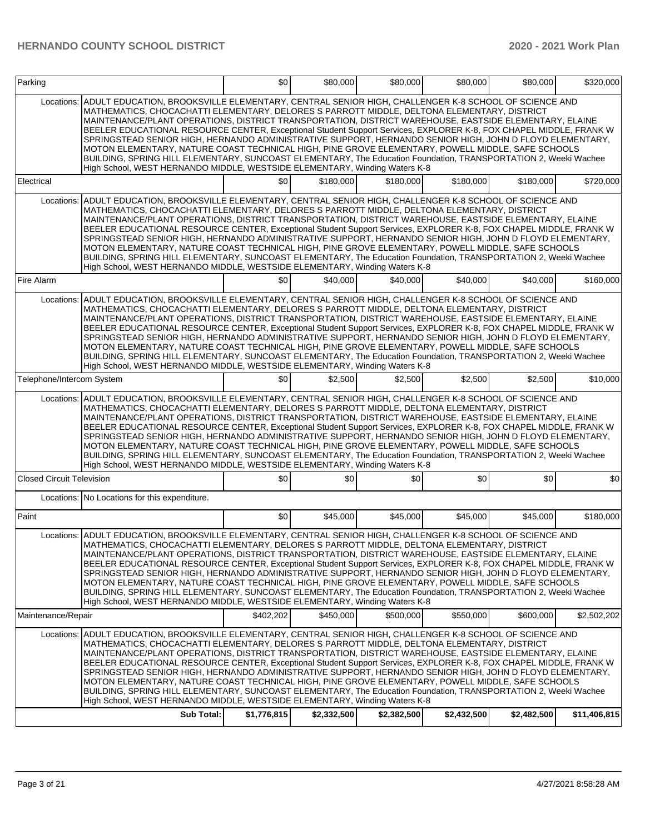| Parking                                                                                                                                                                                                                                                                                                                                                                                                                                                                                                                                                                                                                                                                                                                                                                                                                                                        |                                                                                                                                                                                                                                                                                                                                                                                                                                                                                                                                                                                                                                                                                                                                                                                                                                                                              | \$0         | \$80,000    | \$80,000    | \$80,000    | \$80,000    | \$320,000    |  |  |
|----------------------------------------------------------------------------------------------------------------------------------------------------------------------------------------------------------------------------------------------------------------------------------------------------------------------------------------------------------------------------------------------------------------------------------------------------------------------------------------------------------------------------------------------------------------------------------------------------------------------------------------------------------------------------------------------------------------------------------------------------------------------------------------------------------------------------------------------------------------|------------------------------------------------------------------------------------------------------------------------------------------------------------------------------------------------------------------------------------------------------------------------------------------------------------------------------------------------------------------------------------------------------------------------------------------------------------------------------------------------------------------------------------------------------------------------------------------------------------------------------------------------------------------------------------------------------------------------------------------------------------------------------------------------------------------------------------------------------------------------------|-------------|-------------|-------------|-------------|-------------|--------------|--|--|
| Locations:                                                                                                                                                                                                                                                                                                                                                                                                                                                                                                                                                                                                                                                                                                                                                                                                                                                     | ADULT EDUCATION, BROOKSVILLE ELEMENTARY, CENTRAL SENIOR HIGH, CHALLENGER K-8 SCHOOL OF SCIENCE AND<br>MATHEMATICS, CHOCACHATTI ELEMENTARY, DELORES S PARROTT MIDDLE, DELTONA ELEMENTARY, DISTRICT<br>MAINTENANCE/PLANT OPERATIONS, DISTRICT TRANSPORTATION, DISTRICT WAREHOUSE, EASTSIDE ELEMENTARY, ELAINE<br>BEELER EDUCATIONAL RESOURCE CENTER, Exceptional Student Support Services, EXPLORER K-8, FOX CHAPEL MIDDLE, FRANK W<br>SPRINGSTEAD SENIOR HIGH, HERNANDO ADMINISTRATIVE SUPPORT, HERNANDO SENIOR HIGH, JOHN D FLOYD ELEMENTARY,<br>MOTON ELEMENTARY, NATURE COAST TECHNICAL HIGH, PINE GROVE ELEMENTARY, POWELL MIDDLE, SAFE SCHOOLS<br>BUILDING, SPRING HILL ELEMENTARY, SUNCOAST ELEMENTARY, The Education Foundation, TRANSPORTATION 2, Weeki Wachee<br>High School, WEST HERNANDO MIDDLE, WESTSIDE ELEMENTARY, Winding Waters K-8                          |             |             |             |             |             |              |  |  |
| Electrical                                                                                                                                                                                                                                                                                                                                                                                                                                                                                                                                                                                                                                                                                                                                                                                                                                                     |                                                                                                                                                                                                                                                                                                                                                                                                                                                                                                                                                                                                                                                                                                                                                                                                                                                                              | \$0         | \$180,000   | \$180,000   | \$180,000   | \$180,000   | \$720,000    |  |  |
| Locations:                                                                                                                                                                                                                                                                                                                                                                                                                                                                                                                                                                                                                                                                                                                                                                                                                                                     | ADULT EDUCATION, BROOKSVILLE ELEMENTARY, CENTRAL SENIOR HIGH, CHALLENGER K-8 SCHOOL OF SCIENCE AND<br>MATHEMATICS, CHOCACHATTI ELEMENTARY, DELORES S PARROTT MIDDLE, DELTONA ELEMENTARY, DISTRICT<br>MAINTENANCE/PLANT OPERATIONS, DISTRICT TRANSPORTATION, DISTRICT WAREHOUSE, EASTSIDE ELEMENTARY, ELAINE<br>BEELER EDUCATIONAL RESOURCE CENTER, Exceptional Student Support Services, EXPLORER K-8, FOX CHAPEL MIDDLE, FRANK W<br>SPRINGSTEAD SENIOR HIGH, HERNANDO ADMINISTRATIVE SUPPORT, HERNANDO SENIOR HIGH, JOHN D FLOYD ELEMENTARY,<br>MOTON ELEMENTARY, NATURE COAST TECHNICAL HIGH, PINE GROVE ELEMENTARY, POWELL MIDDLE, SAFE SCHOOLS<br>BUILDING, SPRING HILL ELEMENTARY, SUNCOAST ELEMENTARY, The Education Foundation, TRANSPORTATION 2, Weeki Wachee<br>High School, WEST HERNANDO MIDDLE, WESTSIDE ELEMENTARY, Winding Waters K-8                          |             |             |             |             |             |              |  |  |
| Fire Alarm                                                                                                                                                                                                                                                                                                                                                                                                                                                                                                                                                                                                                                                                                                                                                                                                                                                     |                                                                                                                                                                                                                                                                                                                                                                                                                                                                                                                                                                                                                                                                                                                                                                                                                                                                              | \$0         | \$40,000    | \$40,000    | \$40,000    | \$40,000    | \$160,000    |  |  |
| Locations:                                                                                                                                                                                                                                                                                                                                                                                                                                                                                                                                                                                                                                                                                                                                                                                                                                                     | ADULT EDUCATION. BROOKSVILLE ELEMENTARY. CENTRAL SENIOR HIGH. CHALLENGER K-8 SCHOOL OF SCIENCE AND<br>MATHEMATICS, CHOCACHATTI ELEMENTARY, DELORES S PARROTT MIDDLE, DELTONA ELEMENTARY, DISTRICT<br>MAINTENANCE/PLANT OPERATIONS, DISTRICT TRANSPORTATION, DISTRICT WAREHOUSE, EASTSIDE ELEMENTARY, ELAINE<br>BEELER EDUCATIONAL RESOURCE CENTER, Exceptional Student Support Services, EXPLORER K-8, FOX CHAPEL MIDDLE, FRANK W<br>SPRINGSTEAD SENIOR HIGH, HERNANDO ADMINISTRATIVE SUPPORT, HERNANDO SENIOR HIGH, JOHN D FLOYD ELEMENTARY,<br>MOTON ELEMENTARY, NATURE COAST TECHNICAL HIGH, PINE GROVE ELEMENTARY, POWELL MIDDLE, SAFE SCHOOLS<br>BUILDING, SPRING HILL ELEMENTARY, SUNCOAST ELEMENTARY, The Education Foundation, TRANSPORTATION 2, Weeki Wachee<br>High School, WEST HERNANDO MIDDLE, WESTSIDE ELEMENTARY, Winding Waters K-8                          |             |             |             |             |             |              |  |  |
| Telephone/Intercom System                                                                                                                                                                                                                                                                                                                                                                                                                                                                                                                                                                                                                                                                                                                                                                                                                                      |                                                                                                                                                                                                                                                                                                                                                                                                                                                                                                                                                                                                                                                                                                                                                                                                                                                                              | \$0         | \$2,500     | \$2,500     | \$2,500     | \$2,500     | \$10,000     |  |  |
| Locations:                                                                                                                                                                                                                                                                                                                                                                                                                                                                                                                                                                                                                                                                                                                                                                                                                                                     | ADULT EDUCATION, BROOKSVILLE ELEMENTARY, CENTRAL SENIOR HIGH, CHALLENGER K-8 SCHOOL OF SCIENCE AND<br>MATHEMATICS, CHOCACHATTI ELEMENTARY, DELORES S PARROTT MIDDLE, DELTONA ELEMENTARY, DISTRICT<br>MAINTENANCE/PLANT OPERATIONS, DISTRICT TRANSPORTATION, DISTRICT WAREHOUSE, EASTSIDE ELEMENTARY, ELAINE<br>BEELER EDUCATIONAL RESOURCE CENTER, Exceptional Student Support Services, EXPLORER K-8, FOX CHAPEL MIDDLE, FRANK W<br>SPRINGSTEAD SENIOR HIGH, HERNANDO ADMINISTRATIVE SUPPORT, HERNANDO SENIOR HIGH, JOHN D FLOYD ELEMENTARY,<br>MOTON ELEMENTARY, NATURE COAST TECHNICAL HIGH, PINE GROVE ELEMENTARY, POWELL MIDDLE, SAFE SCHOOLS<br>BUILDING, SPRING HILL ELEMENTARY, SUNCOAST ELEMENTARY, The Education Foundation, TRANSPORTATION 2, Weeki Wachee<br>High School, WEST HERNANDO MIDDLE, WESTSIDE ELEMENTARY, Winding Waters K-8                          |             |             |             |             |             |              |  |  |
| <b>Closed Circuit Television</b>                                                                                                                                                                                                                                                                                                                                                                                                                                                                                                                                                                                                                                                                                                                                                                                                                               |                                                                                                                                                                                                                                                                                                                                                                                                                                                                                                                                                                                                                                                                                                                                                                                                                                                                              | \$0         | \$0         | \$0         | \$0         | \$0         | \$0          |  |  |
|                                                                                                                                                                                                                                                                                                                                                                                                                                                                                                                                                                                                                                                                                                                                                                                                                                                                | Locations: No Locations for this expenditure.                                                                                                                                                                                                                                                                                                                                                                                                                                                                                                                                                                                                                                                                                                                                                                                                                                |             |             |             |             |             |              |  |  |
| Paint                                                                                                                                                                                                                                                                                                                                                                                                                                                                                                                                                                                                                                                                                                                                                                                                                                                          |                                                                                                                                                                                                                                                                                                                                                                                                                                                                                                                                                                                                                                                                                                                                                                                                                                                                              | \$0         | \$45,000    | \$45,000    | \$45,000    | \$45,000    | \$180,000    |  |  |
| Locations: ADULT EDUCATION, BROOKSVILLE ELEMENTARY, CENTRAL SENIOR HIGH, CHALLENGER K-8 SCHOOL OF SCIENCE AND<br>MATHEMATICS, CHOCACHATTI ELEMENTARY, DELORES S PARROTT MIDDLE, DELTONA ELEMENTARY, DISTRICT<br>MAINTENANCE/PLANT OPERATIONS, DISTRICT TRANSPORTATION, DISTRICT WAREHOUSE, EASTSIDE ELEMENTARY, ELAINE<br>BEELER EDUCATIONAL RESOURCE CENTER, Exceptional Student Support Services, EXPLORER K-8, FOX CHAPEL MIDDLE, FRANK W<br>SPRINGSTEAD SENIOR HIGH, HERNANDO ADMINISTRATIVE SUPPORT, HERNANDO SENIOR HIGH, JOHN D FLOYD ELEMENTARY,<br>MOTON ELEMENTARY, NATURE COAST TECHNICAL HIGH, PINE GROVE ELEMENTARY, POWELL MIDDLE, SAFE SCHOOLS<br>BUILDING, SPRING HILL ELEMENTARY, SUNCOAST ELEMENTARY, The Education Foundation, TRANSPORTATION 2, Weeki Wachee<br>High School, WEST HERNANDO MIDDLE, WESTSIDE ELEMENTARY, Winding Waters K-8 |                                                                                                                                                                                                                                                                                                                                                                                                                                                                                                                                                                                                                                                                                                                                                                                                                                                                              |             |             |             |             |             |              |  |  |
| Maintenance/Repair                                                                                                                                                                                                                                                                                                                                                                                                                                                                                                                                                                                                                                                                                                                                                                                                                                             |                                                                                                                                                                                                                                                                                                                                                                                                                                                                                                                                                                                                                                                                                                                                                                                                                                                                              | \$402,202   | \$450,000   | \$500,000   | \$550,000   | \$600,000   | \$2,502,202  |  |  |
|                                                                                                                                                                                                                                                                                                                                                                                                                                                                                                                                                                                                                                                                                                                                                                                                                                                                | Locations: ADULT EDUCATION, BROOKSVILLE ELEMENTARY, CENTRAL SENIOR HIGH, CHALLENGER K-8 SCHOOL OF SCIENCE AND<br>MATHEMATICS, CHOCACHATTI ELEMENTARY, DELORES S PARROTT MIDDLE, DELTONA ELEMENTARY, DISTRICT<br>MAINTENANCE/PLANT OPERATIONS, DISTRICT TRANSPORTATION, DISTRICT WAREHOUSE, EASTSIDE ELEMENTARY, ELAINE<br>BEELER EDUCATIONAL RESOURCE CENTER, Exceptional Student Support Services, EXPLORER K-8, FOX CHAPEL MIDDLE, FRANK W<br>SPRINGSTEAD SENIOR HIGH, HERNANDO ADMINISTRATIVE SUPPORT, HERNANDO SENIOR HIGH, JOHN D FLOYD ELEMENTARY,<br>MOTON ELEMENTARY, NATURE COAST TECHNICAL HIGH, PINE GROVE ELEMENTARY, POWELL MIDDLE, SAFE SCHOOLS<br>BUILDING, SPRING HILL ELEMENTARY, SUNCOAST ELEMENTARY, The Education Foundation, TRANSPORTATION 2, Weeki Wachee<br>High School, WEST HERNANDO MIDDLE, WESTSIDE ELEMENTARY, Winding Waters K-8<br>Sub Total: | \$1,776,815 | \$2,332,500 | \$2,382,500 |             |             | \$11,406,815 |  |  |
|                                                                                                                                                                                                                                                                                                                                                                                                                                                                                                                                                                                                                                                                                                                                                                                                                                                                |                                                                                                                                                                                                                                                                                                                                                                                                                                                                                                                                                                                                                                                                                                                                                                                                                                                                              |             |             |             | \$2,432,500 | \$2,482,500 |              |  |  |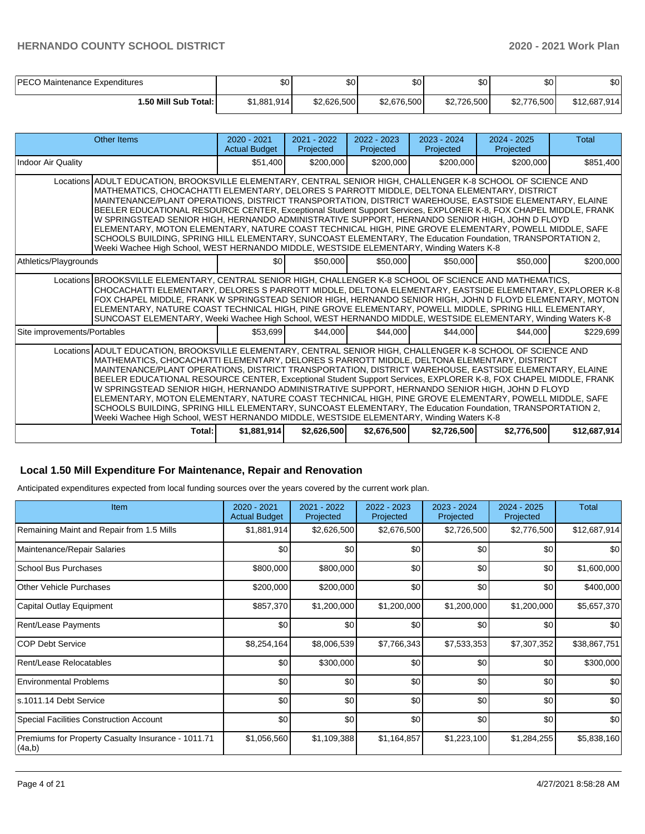| PECO Maintenance Expenditures | \$0         | \$٥         | ¢∩<br>υU    | ¢Λ<br>υU    | \$0 <sub>1</sub> | \$0          |
|-------------------------------|-------------|-------------|-------------|-------------|------------------|--------------|
| 50 Mill Sub Total: I          | \$1,881,914 | \$2,626,500 | \$2,676,500 | \$2,726,500 | \$2,776,500      | \$12,687,914 |

| Other Items                                                                                                                                                                                                                                                                                                                                                                                                                                                                                                                                                                                                                                                                                                                                                                                                                                                    | $2020 - 2021$<br><b>Actual Budget</b> | $2021 - 2022$<br>Projected | $2022 - 2023$<br>Projected | $2023 - 2024$<br>Projected | $2024 - 2025$<br>Projected | Total        |  |  |
|----------------------------------------------------------------------------------------------------------------------------------------------------------------------------------------------------------------------------------------------------------------------------------------------------------------------------------------------------------------------------------------------------------------------------------------------------------------------------------------------------------------------------------------------------------------------------------------------------------------------------------------------------------------------------------------------------------------------------------------------------------------------------------------------------------------------------------------------------------------|---------------------------------------|----------------------------|----------------------------|----------------------------|----------------------------|--------------|--|--|
| <b>Indoor Air Quality</b>                                                                                                                                                                                                                                                                                                                                                                                                                                                                                                                                                                                                                                                                                                                                                                                                                                      | \$51,400                              | \$200,000                  | \$200,000                  | \$200,000                  | \$200,000                  | \$851,400    |  |  |
| Locations ADULT EDUCATION, BROOKSVILLE ELEMENTARY, CENTRAL SENIOR HIGH, CHALLENGER K-8 SCHOOL OF SCIENCE AND<br>MATHEMATICS, CHOCACHATTI ELEMENTARY, DELORES S PARROTT MIDDLE, DELTONA ELEMENTARY, DISTRICT<br>MAINTENANCE/PLANT OPERATIONS, DISTRICT TRANSPORTATION, DISTRICT WAREHOUSE, EASTSIDE ELEMENTARY, ELAINE<br>BEELER EDUCATIONAL RESOURCE CENTER, Exceptional Student Support Services, EXPLORER K-8, FOX CHAPEL MIDDLE, FRANK<br>W SPRINGSTEAD SENIOR HIGH, HERNANDO ADMINISTRATIVE SUPPORT, HERNANDO SENIOR HIGH, JOHN D FLOYD<br>ELEMENTARY, MOTON ELEMENTARY, NATURE COAST TECHNICAL HIGH, PINE GROVE ELEMENTARY, POWELL MIDDLE, SAFE<br>SCHOOLS BUILDING, SPRING HILL ELEMENTARY, SUNCOAST ELEMENTARY, The Education Foundation, TRANSPORTATION 2,<br>Weeki Wachee High School, WEST HERNANDO MIDDLE, WESTSIDE ELEMENTARY, Winding Waters K-8  |                                       |                            |                            |                            |                            |              |  |  |
| Athletics/Playgrounds                                                                                                                                                                                                                                                                                                                                                                                                                                                                                                                                                                                                                                                                                                                                                                                                                                          | \$0                                   | \$50,000                   | \$50,000                   | \$50,000                   | \$50,000                   | \$200,000    |  |  |
| Locations BROOKSVILLE ELEMENTARY, CENTRAL SENIOR HIGH, CHALLENGER K-8 SCHOOL OF SCIENCE AND MATHEMATICS,<br>CHOCACHATTI ELEMENTARY, DELORES S PARROTT MIDDLE, DELTONA ELEMENTARY, EASTSIDE ELEMENTARY, EXPLORER K-8<br>FOX CHAPEL MIDDLE, FRANK W SPRINGSTEAD SENIOR HIGH, HERNANDO SENIOR HIGH, JOHN D FLOYD ELEMENTARY, MOTON<br>ELEMENTARY, NATURE COAST TECHNICAL HIGH, PINE GROVE ELEMENTARY, POWELL MIDDLE, SPRING HILL ELEMENTARY,<br>SUNCOAST ELEMENTARY, Weeki Wachee High School, WEST HERNANDO MIDDLE, WESTSIDE ELEMENTARY, Winding Waters K-8                                                                                                                                                                                                                                                                                                      |                                       |                            |                            |                            |                            |              |  |  |
| Site improvements/Portables                                                                                                                                                                                                                                                                                                                                                                                                                                                                                                                                                                                                                                                                                                                                                                                                                                    | \$53,699                              | \$44,000                   | \$44,000                   | \$44,000                   | \$44,000                   | \$229,699    |  |  |
| Locations ADULT EDUCATION, BROOKSVILLE ELEMENTARY, CENTRAL SENIOR HIGH, CHALLENGER K-8 SCHOOL OF SCIENCE AND<br>IMATHEMATICS. CHOCACHATTI ELEMENTARY. DELORES S PARROTT MIDDLE. DELTONA ELEMENTARY. DISTRICT<br>MAINTENANCE/PLANT OPERATIONS, DISTRICT TRANSPORTATION, DISTRICT WAREHOUSE, EASTSIDE ELEMENTARY, ELAINE<br>BEELER EDUCATIONAL RESOURCE CENTER, Exceptional Student Support Services, EXPLORER K-8, FOX CHAPEL MIDDLE, FRANK<br>W SPRINGSTEAD SENIOR HIGH, HERNANDO ADMINISTRATIVE SUPPORT, HERNANDO SENIOR HIGH, JOHN D FLOYD<br>ELEMENTARY, MOTON ELEMENTARY, NATURE COAST TECHNICAL HIGH, PINE GROVE ELEMENTARY, POWELL MIDDLE, SAFE<br>SCHOOLS BUILDING, SPRING HILL ELEMENTARY, SUNCOAST ELEMENTARY, The Education Foundation, TRANSPORTATION 2,<br>Weeki Wachee High School, WEST HERNANDO MIDDLE, WESTSIDE ELEMENTARY, Winding Waters K-8 |                                       |                            |                            |                            |                            |              |  |  |
| Total:                                                                                                                                                                                                                                                                                                                                                                                                                                                                                                                                                                                                                                                                                                                                                                                                                                                         | \$1,881,914                           | \$2.626.500                | \$2,676,500                | \$2,726,500                | \$2,776,500                | \$12,687,914 |  |  |

### **Local 1.50 Mill Expenditure For Maintenance, Repair and Renovation**

Anticipated expenditures expected from local funding sources over the years covered by the current work plan.

| Item                                                         | 2020 - 2021<br><b>Actual Budget</b> | 2021 - 2022<br>Projected | 2022 - 2023<br>Projected | 2023 - 2024<br>Projected | 2024 - 2025<br>Projected | Total        |
|--------------------------------------------------------------|-------------------------------------|--------------------------|--------------------------|--------------------------|--------------------------|--------------|
| Remaining Maint and Repair from 1.5 Mills                    | \$1,881,914                         | \$2,626,500              | \$2,676,500              | \$2,726,500              | \$2,776,500              | \$12,687,914 |
| Maintenance/Repair Salaries                                  | \$0                                 | \$0                      | \$0                      | \$0                      | \$0                      | \$0          |
| <b>School Bus Purchases</b>                                  | \$800,000                           | \$800,000                | \$0                      | \$0                      | \$0                      | \$1,600,000  |
| <b>Other Vehicle Purchases</b>                               | \$200,000                           | \$200,000                | \$0                      | \$0                      | \$0                      | \$400,000    |
| Capital Outlay Equipment                                     | \$857,370                           | \$1,200,000              | \$1,200,000              | \$1,200,000              | \$1,200,000              | \$5,657,370  |
| Rent/Lease Payments                                          | \$0                                 | \$0                      | \$0                      | \$0                      | \$0                      | \$0          |
| <b>COP Debt Service</b>                                      | \$8,254,164                         | \$8,006,539              | \$7,766,343              | \$7,533,353              | \$7,307,352              | \$38,867,751 |
| Rent/Lease Relocatables                                      | \$0                                 | \$300,000                | \$0                      | \$0                      | \$0                      | \$300,000    |
| <b>Environmental Problems</b>                                | \$0                                 | \$0                      | \$0                      | \$0                      | \$0                      | \$0          |
| s.1011.14 Debt Service                                       | \$0                                 | \$0                      | \$0                      | \$0                      | \$0                      | \$0          |
| <b>Special Facilities Construction Account</b>               | \$0                                 | \$0                      | \$0                      | \$0                      | \$0                      | \$0          |
| Premiums for Property Casualty Insurance - 1011.71<br>(4a,b) | \$1,056,560                         | \$1,109,388              | \$1,164,857              | \$1,223,100              | \$1,284,255              | \$5,838,160  |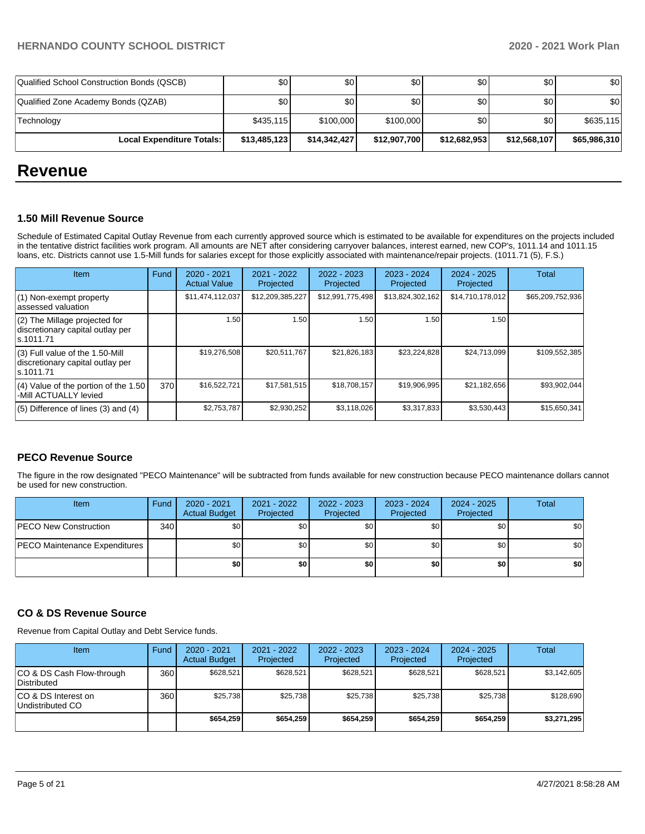| Qualified School Construction Bonds (QSCB) | \$0 <sub>1</sub> | \$0          | \$0          | \$0          | \$0          | \$0          |
|--------------------------------------------|------------------|--------------|--------------|--------------|--------------|--------------|
| Qualified Zone Academy Bonds (QZAB)        | \$0 <sub>1</sub> | \$0          | \$0          | \$0          | \$٥١         | \$0          |
| Technology                                 | \$435,115        | \$100,000    | \$100,000    | \$0          | \$٥١         | \$635,115    |
| <b>Local Expenditure Totals:</b>           | \$13,485,123     | \$14.342.427 | \$12,907,700 | \$12,682,953 | \$12,568,107 | \$65,986,310 |

## **Revenue**

#### **1.50 Mill Revenue Source**

Schedule of Estimated Capital Outlay Revenue from each currently approved source which is estimated to be available for expenditures on the projects included in the tentative district facilities work program. All amounts are NET after considering carryover balances, interest earned, new COP's, 1011.14 and 1011.15 loans, etc. Districts cannot use 1.5-Mill funds for salaries except for those explicitly associated with maintenance/repair projects. (1011.71 (5), F.S.)

| <b>Item</b>                                                                         | Fund | $2020 - 2021$<br><b>Actual Value</b> | $2021 - 2022$<br>Projected | $2022 - 2023$<br>Projected | $2023 - 2024$<br>Projected | $2024 - 2025$<br>Projected | Total            |
|-------------------------------------------------------------------------------------|------|--------------------------------------|----------------------------|----------------------------|----------------------------|----------------------------|------------------|
| (1) Non-exempt property<br>lassessed valuation                                      |      | \$11,474,112,037                     | \$12,209,385,227           | \$12,991,775,498           | \$13,824,302,162           | \$14,710,178,012           | \$65,209,752,936 |
| $(2)$ The Millage projected for<br>discretionary capital outlay per<br>ls.1011.71   |      | 1.50                                 | 1.50                       | 1.50                       | 1.50                       | 1.50                       |                  |
| $(3)$ Full value of the 1.50-Mill<br>discretionary capital outlay per<br>ls.1011.71 |      | \$19,276,508                         | \$20,511,767               | \$21,826,183               | \$23,224,828               | \$24,713,099               | \$109,552,385    |
| $(4)$ Value of the portion of the 1.50<br>-Mill ACTUALLY levied                     | 370  | \$16,522,721                         | \$17,581,515               | \$18,708,157               | \$19,906,995               | \$21,182,656               | \$93,902,044     |
| $(5)$ Difference of lines $(3)$ and $(4)$                                           |      | \$2,753,787                          | \$2,930,252                | \$3,118,026                | \$3,317,833                | \$3,530,443                | \$15,650,341     |

## **PECO Revenue Source**

The figure in the row designated "PECO Maintenance" will be subtracted from funds available for new construction because PECO maintenance dollars cannot be used for new construction.

| Item                          | Fund | 2020 - 2021<br><b>Actual Budget</b> | 2021 - 2022<br>Projected | 2022 - 2023<br>Projected | 2023 - 2024<br>Projected | 2024 - 2025<br>Projected | Total            |
|-------------------------------|------|-------------------------------------|--------------------------|--------------------------|--------------------------|--------------------------|------------------|
| PECO New Construction         | 340  | \$0                                 | \$0                      | \$0                      | \$0                      | \$0                      | \$0              |
| PECO Maintenance Expenditures |      | \$0                                 | \$0                      | \$0                      | \$0                      | \$0                      | \$0 <sub>1</sub> |
|                               |      | \$0                                 | \$0                      | \$0                      | \$0                      | \$0                      | \$0              |

#### **CO & DS Revenue Source**

Revenue from Capital Outlay and Debt Service funds.

| Item                                      | Fund             | $2020 - 2021$<br><b>Actual Budget</b> | $2021 - 2022$<br>Projected | $2022 - 2023$<br>Projected | $2023 - 2024$<br>Projected | $2024 - 2025$<br>Projected | Total       |
|-------------------------------------------|------------------|---------------------------------------|----------------------------|----------------------------|----------------------------|----------------------------|-------------|
| ICO & DS Cash Flow-through<br>Distributed | 360 <sup>1</sup> | \$628.521                             | \$628.521                  | \$628.521                  | \$628.521                  | \$628.521                  | \$3,142,605 |
| ICO & DS Interest on<br>Undistributed CO  | 360              | \$25.738                              | \$25.738                   | \$25.738                   | \$25,738                   | \$25,738                   | \$128,690   |
|                                           |                  | \$654.259                             | \$654.259                  | \$654.259                  | \$654.259                  | \$654.259                  | \$3,271,295 |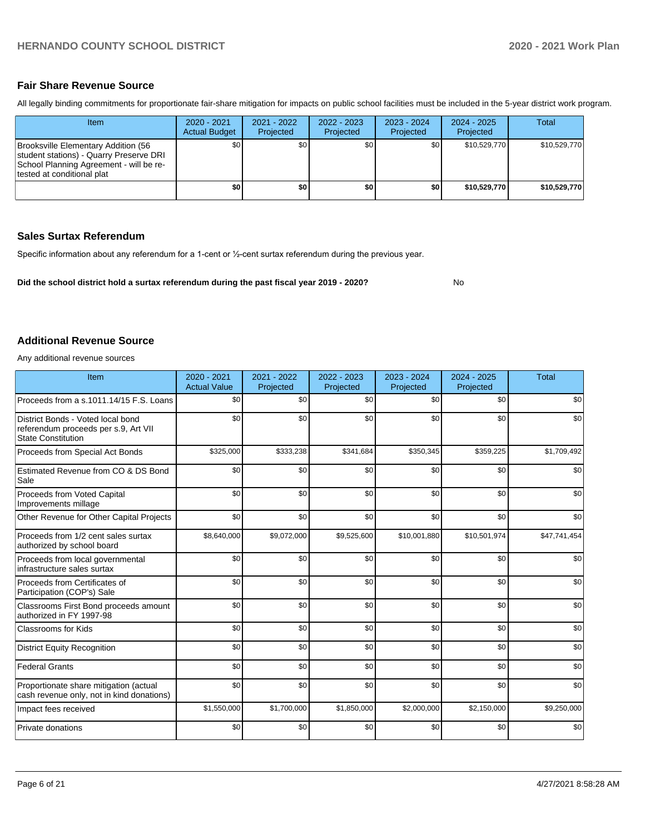No

#### **Fair Share Revenue Source**

All legally binding commitments for proportionate fair-share mitigation for impacts on public school facilities must be included in the 5-year district work program.

| Item                                                                                                                                                     | $2020 - 2021$<br><b>Actual Budget</b> | 2021 - 2022<br>Projected | 2022 - 2023<br>Projected | $2023 - 2024$<br>Projected | $2024 - 2025$<br>Projected | Total        |
|----------------------------------------------------------------------------------------------------------------------------------------------------------|---------------------------------------|--------------------------|--------------------------|----------------------------|----------------------------|--------------|
| Brooksville Elementary Addition (56<br>student stations) - Quarry Preserve DRI<br>School Planning Agreement - will be re-<br>Itested at conditional plat | \$0 <sub>1</sub>                      | \$0 <sub>1</sub>         | \$0                      | \$0                        | \$10,529,770               | \$10,529,770 |
|                                                                                                                                                          | \$0 I                                 | \$0                      | \$0                      | \$0                        | \$10.529.770               | \$10.529.770 |

#### **Sales Surtax Referendum**

Specific information about any referendum for a 1-cent or ½-cent surtax referendum during the previous year.

**Did the school district hold a surtax referendum during the past fiscal year 2019 - 2020?**

### **Additional Revenue Source**

Any additional revenue sources

| Item                                                                                                   | 2020 - 2021<br><b>Actual Value</b> | 2021 - 2022<br>Projected | 2022 - 2023<br>Projected | 2023 - 2024<br>Projected | $2024 - 2025$<br>Projected | <b>Total</b> |
|--------------------------------------------------------------------------------------------------------|------------------------------------|--------------------------|--------------------------|--------------------------|----------------------------|--------------|
| Proceeds from a s.1011.14/15 F.S. Loans                                                                | \$0                                | \$0                      | \$0                      | \$0                      | \$0                        | \$0          |
| District Bonds - Voted local bond<br>referendum proceeds per s.9, Art VII<br><b>State Constitution</b> | \$0                                | \$0                      | \$0                      | \$0                      | \$0                        | \$0          |
| Proceeds from Special Act Bonds                                                                        | \$325,000                          | \$333,238                | \$341,684                | \$350,345                | \$359,225                  | \$1,709,492  |
| Estimated Revenue from CO & DS Bond<br>Sale                                                            | \$0                                | \$0                      | \$0                      | \$0                      | \$0                        | \$0          |
| Proceeds from Voted Capital<br>Improvements millage                                                    | \$0                                | \$0                      | \$0                      | \$0                      | \$0                        | \$0          |
| Other Revenue for Other Capital Projects                                                               | \$0                                | \$0                      | \$0                      | \$0                      | \$0                        | \$0          |
| Proceeds from 1/2 cent sales surtax<br>authorized by school board                                      | \$8,640,000                        | \$9,072,000              | \$9,525,600              | \$10,001,880             | \$10,501,974               | \$47,741,454 |
| Proceeds from local governmental<br>infrastructure sales surtax                                        | \$0                                | \$0                      | \$0                      | \$0                      | \$0                        | \$0          |
| Proceeds from Certificates of<br>Participation (COP's) Sale                                            | \$0                                | \$0                      | \$0                      | \$0                      | \$0                        | \$0          |
| Classrooms First Bond proceeds amount<br>authorized in FY 1997-98                                      | \$0                                | \$0                      | \$0                      | \$0                      | \$0                        | \$0          |
| <b>Classrooms for Kids</b>                                                                             | \$0                                | \$0                      | \$0                      | \$0                      | \$0                        | \$0          |
| <b>District Equity Recognition</b>                                                                     | \$0                                | \$0                      | \$0                      | \$0                      | \$0                        | \$0          |
| <b>Federal Grants</b>                                                                                  | \$0                                | \$0                      | \$0                      | \$0                      | \$0                        | \$0          |
| Proportionate share mitigation (actual<br>cash revenue only, not in kind donations)                    | \$0                                | \$0                      | \$0                      | \$0                      | \$0                        | \$0          |
| Impact fees received                                                                                   | \$1,550,000                        | \$1,700,000              | \$1,850,000              | \$2,000,000              | \$2,150,000                | \$9,250,000  |
| <b>Private donations</b>                                                                               | \$0                                | \$0                      | \$0                      | \$0                      | \$0                        | \$0          |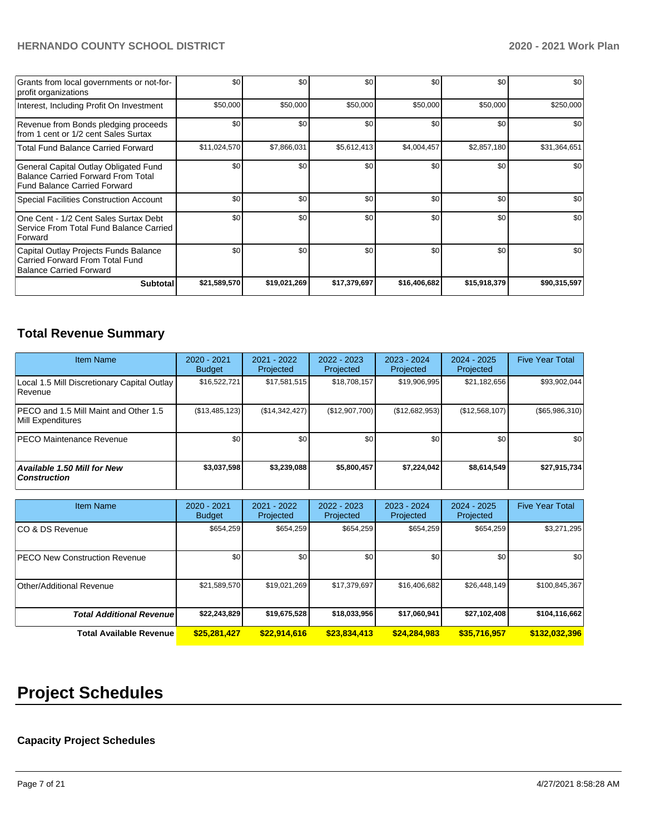| Grants from local governments or not-for-<br>profit organizations                                                         | \$0          | \$0 <sub>1</sub> | \$0          | \$0          | \$0          | \$0          |
|---------------------------------------------------------------------------------------------------------------------------|--------------|------------------|--------------|--------------|--------------|--------------|
| Interest, Including Profit On Investment                                                                                  | \$50,000     | \$50,000         | \$50,000     | \$50,000     | \$50,000     | \$250,000    |
| Revenue from Bonds pledging proceeds<br>from 1 cent or 1/2 cent Sales Surtax                                              | \$0          | \$0 <sub>1</sub> | \$0          | \$0          | \$0          | \$0          |
| <b>Total Fund Balance Carried Forward</b>                                                                                 | \$11,024,570 | \$7,866,031      | \$5,612,413  | \$4,004,457  | \$2,857,180  | \$31,364,651 |
| General Capital Outlay Obligated Fund<br><b>Balance Carried Forward From Total</b><br><b>Fund Balance Carried Forward</b> | \$0          | \$0 <sub>1</sub> | \$0          | \$0          | \$0          | \$0          |
| <b>Special Facilities Construction Account</b>                                                                            | \$0          | \$0 <sub>1</sub> | \$0          | \$0          | \$0          | \$0          |
| One Cent - 1/2 Cent Sales Surtax Debt<br>Service From Total Fund Balance Carried<br>Forward                               | \$0          | \$0              | \$0          | \$0          | \$0          | \$0          |
| Capital Outlay Projects Funds Balance<br>Carried Forward From Total Fund<br><b>Balance Carried Forward</b>                | \$0          | \$0 <sub>1</sub> | \$0          | \$0          | \$0          | \$0          |
| <b>Subtotal</b>                                                                                                           | \$21,589,570 | \$19,021,269     | \$17,379,697 | \$16,406,682 | \$15,918,379 | \$90,315,597 |

## **Total Revenue Summary**

| <b>Item Name</b>                                           | 2020 - 2021<br><b>Budget</b> | 2021 - 2022<br>Projected | 2022 - 2023<br>Projected | 2023 - 2024<br><b>Projected</b> | 2024 - 2025<br>Projected | <b>Five Year Total</b> |
|------------------------------------------------------------|------------------------------|--------------------------|--------------------------|---------------------------------|--------------------------|------------------------|
| Local 1.5 Mill Discretionary Capital Outlay<br>l Revenue   | \$16,522,721                 | \$17,581,515             | \$18,708,157             | \$19,906,995                    | \$21,182,656             | \$93,902,044           |
| PECO and 1.5 Mill Maint and Other 1.5<br>Mill Expenditures | (\$13,485,123)               | (\$14,342,427)           | (\$12,907,700)           | (S12, 682, 953)                 | (S12, 568, 107)          | (\$65,986,310)         |
| <b>PECO Maintenance Revenue</b>                            | \$0 <sub>1</sub>             | \$0                      | \$0                      | \$0                             | \$0 <sub>1</sub>         | \$0                    |
| Available 1.50 Mill for New<br><b>Construction</b>         | \$3,037,598                  | \$3,239,088              | \$5,800,457              | \$7.224.042                     | \$8,614,549              | \$27,915,734           |

| <b>Item Name</b>                     | 2020 - 2021<br><b>Budget</b> | 2021 - 2022<br>Projected | 2022 - 2023<br>Projected | 2023 - 2024<br>Projected | $2024 - 2025$<br>Projected | <b>Five Year Total</b> |
|--------------------------------------|------------------------------|--------------------------|--------------------------|--------------------------|----------------------------|------------------------|
| ICO & DS Revenue                     | \$654,259                    | \$654,259                | \$654,259                | \$654,259                | \$654,259                  | \$3,271,295            |
| <b>PECO New Construction Revenue</b> | \$0                          | \$0                      | \$0                      | \$0                      | \$0                        | \$0                    |
| Other/Additional Revenue             | \$21,589,570                 | \$19,021,269             | \$17,379,697             | \$16,406,682             | \$26,448,149               | \$100,845,367          |
| <b>Total Additional Revenue</b>      | \$22,243,829                 | \$19,675,528             | \$18,033,956             | \$17,060,941             | \$27,102,408               | \$104,116,662          |
| <b>Total Available Revenue</b>       | \$25,281,427                 | \$22,914,616             | \$23,834,413             | \$24,284,983             | \$35,716,957               | \$132,032,396          |

# **Project Schedules**

## **Capacity Project Schedules**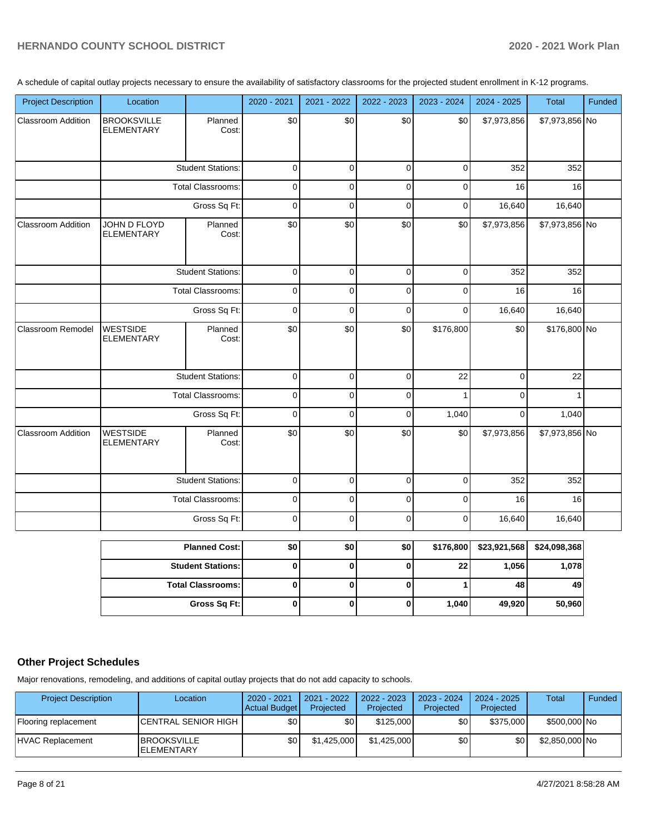A schedule of capital outlay projects necessary to ensure the availability of satisfactory classrooms for the projected student enrollment in K-12 programs.

| <b>Project Description</b> | Location                                |                          | 2020 - 2021         | 2021 - 2022 | 2022 - 2023 | 2023 - 2024    | 2024 - 2025  | Total          | Funded |
|----------------------------|-----------------------------------------|--------------------------|---------------------|-------------|-------------|----------------|--------------|----------------|--------|
| <b>Classroom Addition</b>  | <b>BROOKSVILLE</b><br><b>ELEMENTARY</b> | Planned<br>Cost:         | \$0                 | \$0         | \$0         | \$0            | \$7,973,856  | \$7,973,856 No |        |
|                            |                                         | <b>Student Stations:</b> | $\mathbf 0$         | $\mathbf 0$ | $\mathbf 0$ | $\mathbf 0$    | 352          | 352            |        |
|                            |                                         | Total Classrooms:        | $\pmb{0}$           | $\mathbf 0$ | $\mathbf 0$ | $\pmb{0}$      | 16           | 16             |        |
|                            |                                         | Gross Sq Ft:             | $\mathbf 0$         | $\mathbf 0$ | $\pmb{0}$   | $\pmb{0}$      | 16,640       | 16,640         |        |
| <b>Classroom Addition</b>  | JOHN D FLOYD<br><b>ELEMENTARY</b>       | Planned<br>Cost:         | \$0                 | \$0         | \$0         | \$0            | \$7,973,856  | \$7,973,856 No |        |
|                            |                                         | <b>Student Stations:</b> | $\pmb{0}$           | $\pmb{0}$   | $\pmb{0}$   | $\mathbf 0$    | 352          | 352            |        |
|                            |                                         | <b>Total Classrooms:</b> | $\mathbf 0$         | $\pmb{0}$   | $\pmb{0}$   | $\pmb{0}$      | 16           | 16             |        |
|                            |                                         | Gross Sq Ft:             | $\pmb{0}$           | $\mathbf 0$ | $\mathbf 0$ | $\mathbf 0$    | 16,640       | 16,640         |        |
| <b>Classroom Remodel</b>   | <b>WESTSIDE</b><br><b>ELEMENTARY</b>    | Planned<br>Cost:         | \$0                 | \$0         | \$0         | \$176,800      | \$0          | \$176,800 No   |        |
|                            |                                         | <b>Student Stations:</b> | $\mathsf{O}\xspace$ | $\mathbf 0$ | $\pmb{0}$   | 22             | $\pmb{0}$    | 22             |        |
|                            |                                         | <b>Total Classrooms:</b> | $\pmb{0}$           | $\mathbf 0$ | $\mathbf 0$ | $\mathbf{1}$   | $\mathbf 0$  | $\mathbf{1}$   |        |
|                            |                                         | Gross Sq Ft:             | $\mathbf 0$         | $\Omega$    | $\mathbf 0$ | 1,040          | $\mathbf 0$  | 1,040          |        |
| Classroom Addition         | <b>WESTSIDE</b><br><b>ELEMENTARY</b>    | Planned<br>Cost:         | \$0                 | \$0         | \$0         | \$0            | \$7,973,856  | \$7,973,856 No |        |
|                            |                                         | <b>Student Stations:</b> | $\pmb{0}$           | $\mathbf 0$ | $\mathbf 0$ | $\mathbf 0$    | 352          | 352            |        |
|                            |                                         | <b>Total Classrooms:</b> | $\pmb{0}$           | $\mathbf 0$ | $\pmb{0}$   | $\mathbf 0$    | 16           | 16             |        |
|                            |                                         | Gross Sq Ft:             | $\pmb{0}$           | $\mathbf 0$ | $\mathbf 0$ | $\pmb{0}$      | 16,640       | 16,640         |        |
|                            |                                         | <b>Planned Cost:</b>     | \$0                 | \$0         | \$0         | \$176,800      | \$23,921,568 | \$24,098,368   |        |
|                            |                                         | <b>Student Stations:</b> | 0                   | 0           | $\bf{0}$    | 22             | 1,056        | 1,078          |        |
|                            |                                         | <b>Total Classrooms:</b> | $\mathbf{0}$        | $\bf{0}$    | $\mathbf 0$ | 1 <sup>1</sup> | 48           | 49             |        |

## **Other Project Schedules**

Major renovations, remodeling, and additions of capital outlay projects that do not add capacity to schools.

| <b>Project Description</b> | Location                                 | 2020 - 2021<br>Actual Budget | 2021 - 2022<br>Projected | $2022 - 2023$<br>Projected | 2023 - 2024<br>Projected | 2024 - 2025<br>Projected | Total          | Funded |
|----------------------------|------------------------------------------|------------------------------|--------------------------|----------------------------|--------------------------|--------------------------|----------------|--------|
| Flooring replacement       | <b>ICENTRAL SENIOR HIGH</b>              | \$0                          | \$0                      | \$125,000                  | \$0                      | \$375,000                | \$500,000 No   |        |
| <b>HVAC Replacement</b>    | <b>IBROOKSVILLE</b><br><b>ELEMENTARY</b> | \$0                          | \$1.425,000              | \$1.425.000                | \$0                      | \$0                      | \$2,850,000 No |        |

**Gross Sq Ft: 0 0 0 1,040 49,920 50,960**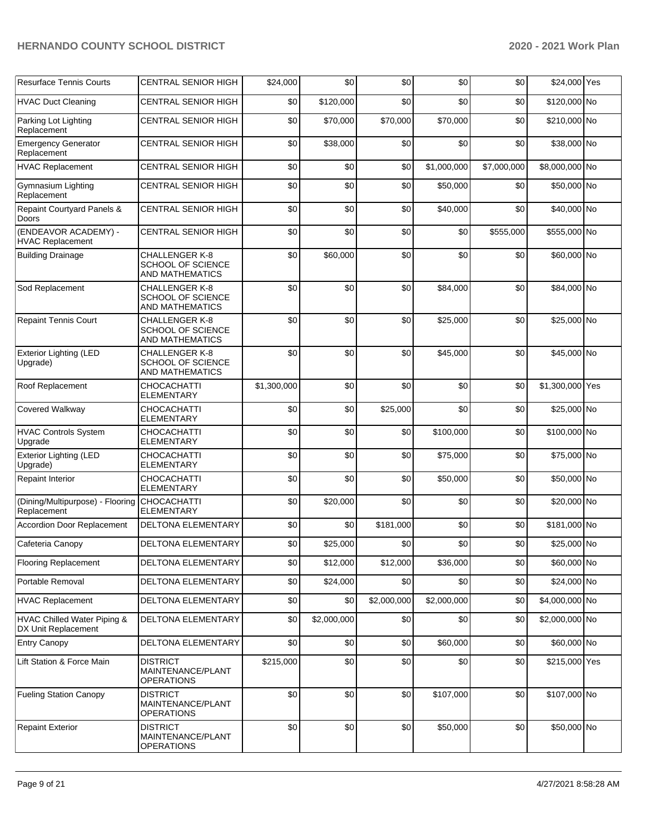| <b>Resurface Tennis Courts</b>                              | <b>CENTRAL SENIOR HIGH</b>                                                  | \$24,000    | \$0         | \$0         | \$0         | \$0         | \$24,000 Yes    |  |
|-------------------------------------------------------------|-----------------------------------------------------------------------------|-------------|-------------|-------------|-------------|-------------|-----------------|--|
| <b>HVAC Duct Cleaning</b>                                   | CENTRAL SENIOR HIGH                                                         | \$0         | \$120,000   | \$0         | \$0         | \$0         | \$120,000 No    |  |
| Parking Lot Lighting<br>Replacement                         | <b>CENTRAL SENIOR HIGH</b>                                                  | \$0         | \$70,000    | \$70,000    | \$70,000    | \$0         | \$210,000 No    |  |
| <b>Emergency Generator</b><br>Replacement                   | <b>CENTRAL SENIOR HIGH</b>                                                  | \$0         | \$38,000    | \$0         | \$0         | \$0         | \$38,000 No     |  |
| <b>HVAC Replacement</b>                                     | <b>CENTRAL SENIOR HIGH</b>                                                  | \$0         | \$0         | \$0         | \$1,000,000 | \$7,000,000 | \$8,000,000 No  |  |
| Gymnasium Lighting<br>Replacement                           | <b>CENTRAL SENIOR HIGH</b>                                                  | \$0         | \$0         | \$0         | \$50,000    | \$0         | \$50,000 No     |  |
| Repaint Courtyard Panels &<br>Doors                         | <b>CENTRAL SENIOR HIGH</b>                                                  | \$0         | \$0         | \$0         | \$40,000    | \$0         | \$40,000 No     |  |
| (ENDEAVOR ACADEMY) -<br>HVAC Replacement                    | <b>CENTRAL SENIOR HIGH</b>                                                  | \$0         | \$0         | \$0         | \$0         | \$555,000   | \$555,000 No    |  |
| <b>Building Drainage</b>                                    | CHALLENGER K-8<br>SCHOOL OF SCIENCE<br>AND MATHEMATICS                      | \$0         | \$60,000    | \$0         | \$0         | \$0         | \$60,000 No     |  |
| Sod Replacement                                             | <b>CHALLENGER K-8</b><br>SCHOOL OF SCIENCE<br><b>AND MATHEMATICS</b>        | \$0         | \$0         | \$0         | \$84,000    | \$0         | \$84,000 No     |  |
| <b>Repaint Tennis Court</b>                                 | <b>CHALLENGER K-8</b><br><b>SCHOOL OF SCIENCE</b><br><b>AND MATHEMATICS</b> | \$0         | \$0         | \$0         | \$25,000    | \$0         | \$25,000 No     |  |
| <b>Exterior Lighting (LED</b><br>Upgrade)                   | <b>CHALLENGER K-8</b><br>SCHOOL OF SCIENCE<br>AND MATHEMATICS               | \$0         | \$0         | \$0         | \$45,000    | \$0         | \$45,000 No     |  |
| Roof Replacement                                            | CHOCACHATTI<br>ELEMENTARY                                                   | \$1,300,000 | \$0         | \$0         | \$0         | \$0         | \$1,300,000 Yes |  |
| Covered Walkway                                             | CHOCACHATTI<br><b>ELEMENTARY</b>                                            | \$0         | \$0         | \$25,000    | \$0         | \$0         | \$25,000 No     |  |
| <b>HVAC Controls System</b><br>Upgrade                      | <b>CHOCACHATTI</b><br><b>ELEMENTARY</b>                                     | \$0         | \$0         | \$0         | \$100,000   | \$0         | \$100,000 No    |  |
| <b>Exterior Lighting (LED</b><br>Upgrade)                   | <b>CHOCACHATTI</b><br><b>ELEMENTARY</b>                                     | \$0         | \$0         | \$0         | \$75,000    | \$0         | \$75,000 No     |  |
| Repaint Interior                                            | CHOCACHATTI<br><b>ELEMENTARY</b>                                            | \$0         | \$0         | \$0         | \$50,000    | \$0         | \$50,000 No     |  |
| (Dining/Multipurpose) - Flooring CHOCACHATTI<br>Replacement | <b>ELEMENTARY</b>                                                           | \$0         | \$20,000    | \$0         | \$0         | \$0         | \$20,000 No     |  |
| <b>Accordion Door Replacement</b>                           | <b>DELTONA ELEMENTARY</b>                                                   | \$0         | \$0         | \$181,000   | \$0         | \$0         | \$181,000 No    |  |
| Cafeteria Canopy                                            | DELTONA ELEMENTARY                                                          | \$0         | \$25,000    | \$0         | \$0         | \$0         | \$25,000 No     |  |
| <b>Flooring Replacement</b>                                 | DELTONA ELEMENTARY                                                          | \$0         | \$12,000    | \$12,000    | \$36,000    | \$0         | \$60,000 No     |  |
| Portable Removal                                            | DELTONA ELEMENTARY                                                          | \$0         | \$24,000    | \$0         | \$0         | \$0         | \$24,000 No     |  |
| <b>HVAC Replacement</b>                                     | DELTONA ELEMENTARY                                                          | \$0         | \$0         | \$2,000,000 | \$2,000,000 | \$0         | \$4,000,000 No  |  |
| HVAC Chilled Water Piping &<br>DX Unit Replacement          | DELTONA ELEMENTARY                                                          | \$0         | \$2,000,000 | \$0         | \$0         | \$0         | \$2,000,000 No  |  |
| <b>Entry Canopy</b>                                         | DELTONA ELEMENTARY                                                          | \$0         | \$0         | \$0         | \$60,000    | \$0         | \$60,000 No     |  |
| Lift Station & Force Main                                   | <b>DISTRICT</b><br>MAINTENANCE/PLANT<br><b>OPERATIONS</b>                   | \$215,000   | \$0         | \$0         | \$0         | \$0         | \$215,000 Yes   |  |
| <b>Fueling Station Canopy</b>                               | DISTRICT<br>MAINTENANCE/PLANT<br><b>OPERATIONS</b>                          | \$0         | \$0         | \$0         | \$107,000   | \$0         | \$107,000 No    |  |
| <b>Repaint Exterior</b>                                     | <b>DISTRICT</b><br>MAINTENANCE/PLANT<br><b>OPERATIONS</b>                   | \$0         | \$0         | \$0         | \$50,000    | \$0         | \$50,000 No     |  |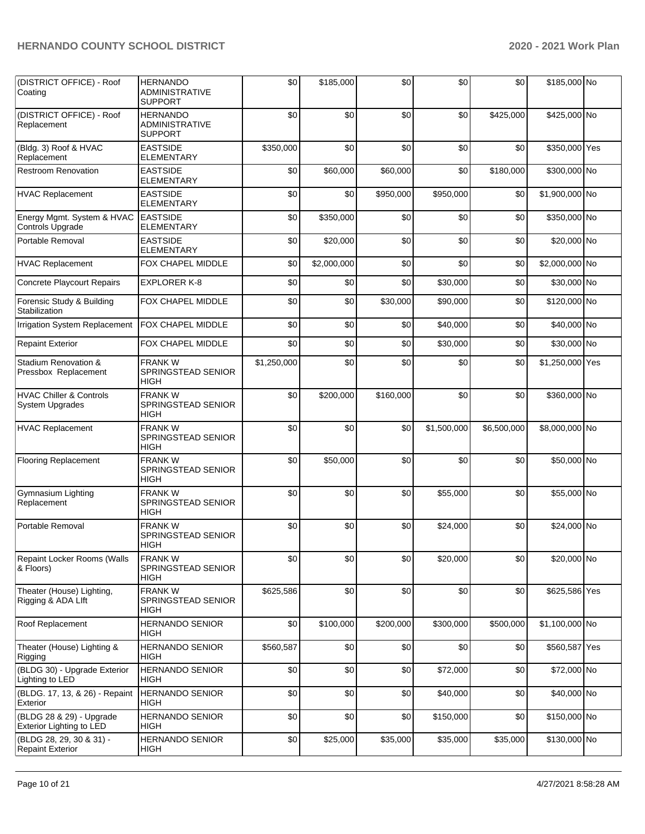| (DISTRICT OFFICE) - Roof<br>Coating                         | <b>HERNANDO</b><br><b>ADMINISTRATIVE</b><br><b>SUPPORT</b> | \$0         | \$185,000   | \$0       | \$0         | \$0         | \$185,000 No    |  |
|-------------------------------------------------------------|------------------------------------------------------------|-------------|-------------|-----------|-------------|-------------|-----------------|--|
| (DISTRICT OFFICE) - Roof<br>Replacement                     | <b>HERNANDO</b><br><b>ADMINISTRATIVE</b><br><b>SUPPORT</b> | \$0         | \$0         | \$0       | \$0         | \$425,000   | \$425,000 No    |  |
| (Bldg. 3) Roof & HVAC<br>Replacement                        | <b>EASTSIDE</b><br><b>ELEMENTARY</b>                       | \$350,000   | \$0         | \$0       | \$0         | \$0         | \$350,000 Yes   |  |
| <b>Restroom Renovation</b>                                  | <b>EASTSIDE</b><br><b>ELEMENTARY</b>                       | \$0         | \$60,000    | \$60,000  | \$0         | \$180,000   | \$300,000 No    |  |
| <b>HVAC Replacement</b>                                     | <b>EASTSIDE</b><br><b>ELEMENTARY</b>                       | \$0         | \$0         | \$950,000 | \$950,000   | \$0         | \$1,900,000 No  |  |
| Energy Mgmt. System & HVAC<br>Controls Upgrade              | <b>EASTSIDE</b><br>ELEMENTARY                              | \$0         | \$350,000   | \$0       | \$0         | \$0         | \$350,000 No    |  |
| Portable Removal                                            | <b>EASTSIDE</b><br><b>ELEMENTARY</b>                       | \$0         | \$20,000    | \$0       | \$0         | \$0         | \$20,000 No     |  |
| <b>HVAC Replacement</b>                                     | FOX CHAPEL MIDDLE                                          | \$0         | \$2,000,000 | \$0       | \$0         | \$0         | \$2,000,000 No  |  |
| <b>Concrete Playcourt Repairs</b>                           | <b>EXPLORER K-8</b>                                        | \$0         | \$0         | \$0       | \$30,000    | \$0         | \$30,000 No     |  |
| Forensic Study & Building<br>Stabilization                  | FOX CHAPEL MIDDLE                                          | \$0         | \$0         | \$30,000  | \$90,000    | \$0         | \$120,000 No    |  |
| Irrigation System Replacement                               | FOX CHAPEL MIDDLE                                          | \$0         | \$0         | \$0       | \$40,000    | \$0         | \$40,000 No     |  |
| <b>Repaint Exterior</b>                                     | FOX CHAPEL MIDDLE                                          | \$0         | \$0         | \$0       | \$30,000    | \$0         | \$30,000 No     |  |
| Stadium Renovation &<br>Pressbox Replacement                | <b>FRANKW</b><br>SPRINGSTEAD SENIOR<br><b>HIGH</b>         | \$1,250,000 | \$0         | \$0       | \$0         | \$0         | \$1,250,000 Yes |  |
| <b>HVAC Chiller &amp; Controls</b><br>System Upgrades       | <b>FRANKW</b><br>SPRINGSTEAD SENIOR<br>HIGH                | \$0         | \$200,000   | \$160,000 | \$0         | \$0         | \$360,000 No    |  |
| <b>HVAC Replacement</b>                                     | <b>FRANKW</b><br>SPRINGSTEAD SENIOR<br><b>HIGH</b>         | \$0         | \$0         | \$0       | \$1,500,000 | \$6,500,000 | \$8,000,000 No  |  |
| <b>Flooring Replacement</b>                                 | <b>FRANKW</b><br>SPRINGSTEAD SENIOR<br>HIGH                | \$0         | \$50,000    | \$0       | \$0         | \$0         | \$50,000 No     |  |
| Gymnasium Lighting<br>Replacement                           | <b>FRANK W</b><br>SPRINGSTEAD SENIOR<br>HIGH               | \$0         | \$0         | \$0       | \$55,000    | \$0         | \$55,000 No     |  |
| Portable Removal                                            | <b>FRANK W</b><br>SPRINGSTEAD SENIOR<br>HIGH               | \$0         | \$0         | \$0       | \$24,000    | \$0         | \$24,000 No     |  |
| Repaint Locker Rooms (Walls<br>& Floors)                    | <b>FRANKW</b><br>SPRINGSTEAD SENIOR<br>HIGH                | \$0         | \$0         | \$0       | \$20,000    | \$0         | \$20,000 No     |  |
| Theater (House) Lighting,<br>Rigging & ADA Llft             | <b>FRANKW</b><br>SPRINGSTEAD SENIOR<br>HIGH                | \$625,586   | \$0         | \$0       | \$0         | \$0         | \$625,586 Yes   |  |
| Roof Replacement                                            | <b>HERNANDO SENIOR</b><br>HIGH                             | \$0         | \$100,000   | \$200,000 | \$300,000   | \$500,000   | \$1,100,000 No  |  |
| Theater (House) Lighting &<br>Rigging                       | <b>HERNANDO SENIOR</b><br><b>HIGH</b>                      | \$560,587   | \$0         | \$0       | \$0         | \$0         | \$560,587 Yes   |  |
| (BLDG 30) - Upgrade Exterior<br>Lighting to LED             | HERNANDO SENIOR<br><b>HIGH</b>                             | \$0         | \$0         | \$0       | \$72,000    | \$0         | \$72,000 No     |  |
| (BLDG. 17, 13, & 26) - Repaint<br>Exterior                  | <b>HERNANDO SENIOR</b><br><b>HIGH</b>                      | \$0         | \$0         | \$0       | \$40,000    | \$0         | \$40,000 No     |  |
| (BLDG 28 & 29) - Upgrade<br><b>Exterior Lighting to LED</b> | <b>HERNANDO SENIOR</b><br><b>HIGH</b>                      | \$0         | \$0         | \$0       | \$150,000   | \$0         | \$150,000 No    |  |
| (BLDG 28, 29, 30 & 31) -<br><b>Repaint Exterior</b>         | <b>HERNANDO SENIOR</b><br><b>HIGH</b>                      | \$0         | \$25,000    | \$35,000  | \$35,000    | \$35,000    | \$130,000 No    |  |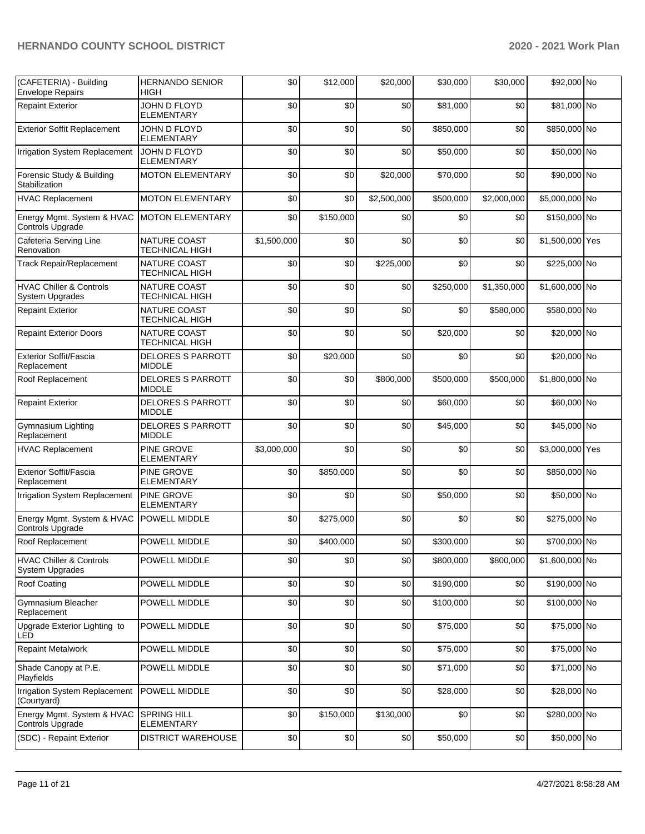| (CAFETERIA) - Building<br><b>Envelope Repairs</b>            | <b>HERNANDO SENIOR</b><br>HIGH               | \$0         | \$12,000  | \$20,000    | \$30,000  | \$30,000    | \$92,000 No     |  |
|--------------------------------------------------------------|----------------------------------------------|-------------|-----------|-------------|-----------|-------------|-----------------|--|
| <b>Repaint Exterior</b>                                      | JOHN D FLOYD<br><b>ELEMENTARY</b>            | \$0         | \$0       | \$0         | \$81,000  | \$0         | \$81,000 No     |  |
| <b>Exterior Soffit Replacement</b>                           | JOHN D FLOYD<br><b>ELEMENTARY</b>            | \$0         | \$0       | \$0         | \$850,000 | \$0         | \$850,000 No    |  |
| Irrigation System Replacement                                | JOHN D FLOYD<br>ELEMENTARY                   | \$0         | \$0       | \$0         | \$50,000  | \$0         | \$50,000 No     |  |
| Forensic Study & Building<br>Stabilization                   | <b>MOTON ELEMENTARY</b>                      | \$0         | \$0       | \$20,000    | \$70,000  | \$0         | \$90,000 No     |  |
| <b>HVAC Replacement</b>                                      | <b>MOTON ELEMENTARY</b>                      | \$0         | \$0       | \$2,500,000 | \$500,000 | \$2,000,000 | \$5,000,000 No  |  |
| Energy Mgmt. System & HVAC<br>Controls Upgrade               | <b>MOTON ELEMENTARY</b>                      | \$0         | \$150,000 | \$0         | \$0       | \$0         | \$150,000 No    |  |
| Cafeteria Serving Line<br>Renovation                         | NATURE COAST<br><b>TECHNICAL HIGH</b>        | \$1,500,000 | \$0       | \$0         | \$0       | \$0         | \$1,500,000 Yes |  |
| <b>Track Repair/Replacement</b>                              | NATURE COAST<br>TECHNICAL HIGH               | \$0         | \$0       | \$225,000   | \$0       | \$0         | \$225,000 No    |  |
| <b>HVAC Chiller &amp; Controls</b><br><b>System Upgrades</b> | NATURE COAST<br><b>TECHNICAL HIGH</b>        | \$0         | \$0       | \$0         | \$250,000 | \$1,350,000 | \$1,600,000 No  |  |
| <b>Repaint Exterior</b>                                      | NATURE COAST<br><b>TECHNICAL HIGH</b>        | \$0         | \$0       | \$0         | \$0       | \$580,000   | \$580,000 No    |  |
| <b>Repaint Exterior Doors</b>                                | <b>NATURE COAST</b><br><b>TECHNICAL HIGH</b> | \$0         | \$0       | \$0         | \$20,000  | \$0         | \$20,000 No     |  |
| Exterior Soffit/Fascia<br>Replacement                        | <b>DELORES S PARROTT</b><br><b>MIDDLE</b>    | \$0         | \$20,000  | \$0         | \$0       | \$0         | \$20,000 No     |  |
| Roof Replacement                                             | <b>DELORES S PARROTT</b><br><b>MIDDLE</b>    | \$0         | \$0       | \$800,000   | \$500,000 | \$500,000   | \$1,800,000 No  |  |
| <b>Repaint Exterior</b>                                      | <b>DELORES S PARROTT</b><br><b>MIDDLE</b>    | \$0         | \$0       | \$0         | \$60,000  | \$0         | \$60,000 No     |  |
| Gymnasium Lighting<br>Replacement                            | <b>DELORES S PARROTT</b><br><b>MIDDLE</b>    | \$0         | \$0       | \$0         | \$45,000  | \$0         | \$45,000 No     |  |
| <b>HVAC Replacement</b>                                      | PINE GROVE<br>ELEMENTARY                     | \$3,000,000 | \$0       | \$0         | \$0       | \$0         | \$3,000,000 Yes |  |
| Exterior Soffit/Fascia<br>Replacement                        | PINE GROVE<br><b>ELEMENTARY</b>              | \$0         | \$850,000 | \$0         | \$0       | \$0         | \$850,000 No    |  |
| Irrigation System Replacement                                | PINE GROVE<br><b>ELEMENTARY</b>              | \$0         | \$0       | \$0         | \$50,000  | \$0         | \$50,000 No     |  |
| Energy Mgmt. System & HVAC<br>Controls Upgrade               | POWELL MIDDLE                                | \$0         | \$275,000 | \$0         | \$0       | \$0         | \$275,000 No    |  |
| Roof Replacement                                             | POWELL MIDDLE                                | \$0         | \$400,000 | \$0         | \$300,000 | \$0         | \$700,000 No    |  |
| <b>HVAC Chiller &amp; Controls</b><br><b>System Upgrades</b> | POWELL MIDDLE                                | \$0         | \$0       | \$0         | \$800,000 | \$800,000   | \$1,600,000 No  |  |
| <b>Roof Coating</b>                                          | POWELL MIDDLE                                | \$0         | \$0       | \$0         | \$190,000 | \$0         | \$190,000 No    |  |
| Gymnasium Bleacher<br>Replacement                            | POWELL MIDDLE                                | \$0         | \$0       | \$0         | \$100,000 | \$0         | \$100,000 No    |  |
| Upgrade Exterior Lighting to<br>LED                          | POWELL MIDDLE                                | \$0         | \$0       | \$0         | \$75,000  | \$0         | \$75,000 No     |  |
| <b>Repaint Metalwork</b>                                     | POWELL MIDDLE                                | \$0         | \$0       | \$0         | \$75,000  | \$0         | \$75,000 No     |  |
| Shade Canopy at P.E.<br>Playfields                           | POWELL MIDDLE                                | \$0         | \$0       | \$0         | \$71,000  | \$0         | \$71,000 No     |  |
| Irrigation System Replacement<br>(Courtyard)                 | POWELL MIDDLE                                | \$0         | \$0       | \$0         | \$28,000  | \$0         | \$28,000 No     |  |
| Energy Mgmt. System & HVAC<br>Controls Upgrade               | SPRING HILL<br><b>ELEMENTARY</b>             | \$0         | \$150,000 | \$130,000   | \$0       | \$0         | \$280,000 No    |  |
| (SDC) - Repaint Exterior                                     | DISTRICT WAREHOUSE                           | \$0         | \$0       | $\$0$       | \$50,000  | \$0         | \$50,000 No     |  |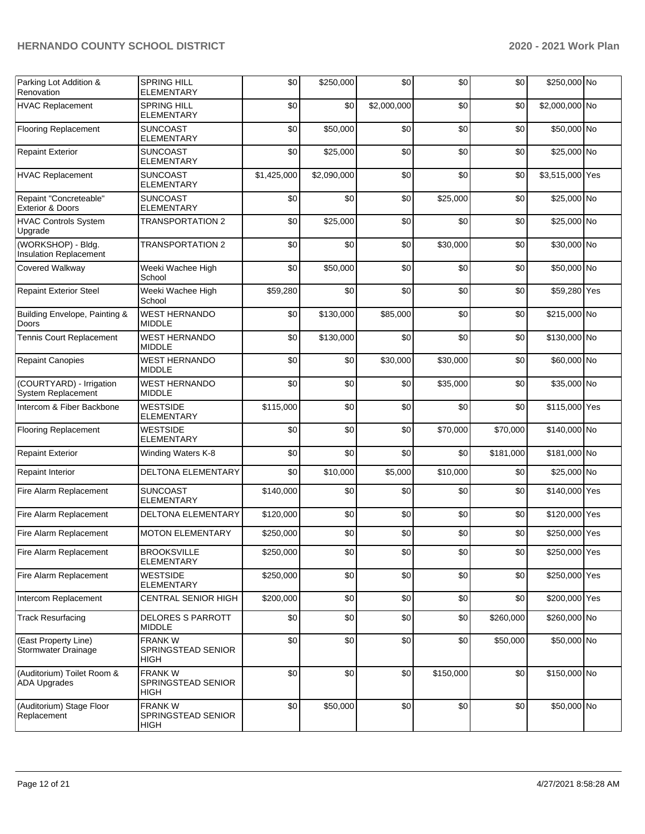| Parking Lot Addition &<br>Renovation                  | <b>SPRING HILL</b><br><b>ELEMENTARY</b>            | \$0         | \$250,000   | \$0         | \$0       | \$0       | \$250,000 No    |  |
|-------------------------------------------------------|----------------------------------------------------|-------------|-------------|-------------|-----------|-----------|-----------------|--|
| <b>HVAC Replacement</b>                               | <b>SPRING HILL</b><br><b>ELEMENTARY</b>            | \$0         | \$0         | \$2,000,000 | \$0       | \$0       | \$2,000,000 No  |  |
| <b>Flooring Replacement</b>                           | <b>SUNCOAST</b><br><b>ELEMENTARY</b>               | \$0         | \$50,000    | \$0         | \$0       | \$0       | \$50,000 No     |  |
| <b>Repaint Exterior</b>                               | <b>SUNCOAST</b><br><b>ELEMENTARY</b>               | \$0         | \$25,000    | \$0         | \$0       | \$0       | \$25,000 No     |  |
| <b>HVAC Replacement</b>                               | <b>SUNCOAST</b><br>ELEMENTARY                      | \$1,425,000 | \$2,090,000 | \$0         | \$0       | \$0       | \$3,515,000 Yes |  |
| Repaint "Concreteable"<br><b>Exterior &amp; Doors</b> | <b>SUNCOAST</b><br>ELEMENTARY                      | \$0         | \$0         | \$0         | \$25,000  | \$0       | \$25,000 No     |  |
| <b>HVAC Controls System</b><br>Upgrade                | <b>TRANSPORTATION 2</b>                            | \$0         | \$25,000    | \$0         | \$0       | \$0       | \$25,000 No     |  |
| (WORKSHOP) - Bldg.<br>Insulation Replacement          | <b>TRANSPORTATION 2</b>                            | \$0         | \$0         | \$0         | \$30,000  | \$0       | \$30,000 No     |  |
| Covered Walkway                                       | Weeki Wachee High<br>School                        | \$0         | \$50,000    | \$0         | \$0       | \$0       | \$50,000 No     |  |
| <b>Repaint Exterior Steel</b>                         | Weeki Wachee High<br>School                        | \$59,280    | \$0         | \$0         | \$0       | \$0       | \$59,280 Yes    |  |
| Building Envelope, Painting &<br>Doors                | <b>WEST HERNANDO</b><br><b>MIDDLE</b>              | \$0         | \$130,000   | \$85,000    | \$0       | \$0       | \$215,000 No    |  |
| Tennis Court Replacement                              | <b>WEST HERNANDO</b><br><b>MIDDLE</b>              | \$0         | \$130,000   | \$0         | \$0       | \$0       | \$130,000 No    |  |
| <b>Repaint Canopies</b>                               | <b>WEST HERNANDO</b><br><b>MIDDLE</b>              | \$0         | \$0         | \$30,000    | \$30,000  | \$0       | \$60,000 No     |  |
| (COURTYARD) - Irrigation<br>System Replacement        | <b>WEST HERNANDO</b><br><b>MIDDLE</b>              | \$0         | \$0         | \$0         | \$35,000  | \$0       | \$35,000 No     |  |
| Intercom & Fiber Backbone                             | <b>WESTSIDE</b><br><b>ELEMENTARY</b>               | \$115,000   | \$0         | \$0         | \$0       | \$0       | \$115,000 Yes   |  |
| <b>Flooring Replacement</b>                           | <b>WESTSIDE</b><br><b>ELEMENTARY</b>               | \$0         | \$0         | \$0         | \$70,000  | \$70,000  | \$140,000 No    |  |
| <b>Repaint Exterior</b>                               | Winding Waters K-8                                 | \$0         | \$0         | \$0         | \$0       | \$181,000 | \$181,000 No    |  |
| <b>Repaint Interior</b>                               | DELTONA ELEMENTARY                                 | \$0         | \$10,000    | \$5,000     | \$10,000  | \$0       | \$25,000 No     |  |
| Fire Alarm Replacement                                | <b>SUNCOAST</b><br><b>ELEMENTARY</b>               | \$140,000   | \$0         | \$0         | \$0       | \$0       | \$140,000 Yes   |  |
| Fire Alarm Replacement                                | DELTONA ELEMENTARY                                 | \$120,000   | \$0         | \$0         | \$0       | \$0       | \$120,000 Yes   |  |
| Fire Alarm Replacement                                | <b>MOTON ELEMENTARY</b>                            | \$250,000   | \$0         | \$0         | \$0       | \$0       | \$250,000 Yes   |  |
| Fire Alarm Replacement                                | <b>BROOKSVILLE</b><br><b>ELEMENTARY</b>            | \$250,000   | \$0         | \$0         | \$0       | \$0       | \$250,000 Yes   |  |
| Fire Alarm Replacement                                | <b>WESTSIDE</b><br><b>ELEMENTARY</b>               | \$250,000   | \$0         | \$0         | \$0       | \$0       | \$250,000 Yes   |  |
| Intercom Replacement                                  | <b>CENTRAL SENIOR HIGH</b>                         | \$200,000   | \$0         | \$0         | \$0       | \$0       | \$200,000 Yes   |  |
| <b>Track Resurfacing</b>                              | DELORES S PARROTT<br><b>MIDDLE</b>                 | \$0         | \$0         | \$0         | \$0       | \$260,000 | \$260,000 No    |  |
| (East Property Line)<br>Stormwater Drainage           | <b>FRANKW</b><br>SPRINGSTEAD SENIOR<br>HIGH        | \$0         | \$0         | \$0         | \$0       | \$50,000  | \$50,000 No     |  |
| (Auditorium) Toilet Room &<br><b>ADA Upgrades</b>     | <b>FRANKW</b><br>SPRINGSTEAD SENIOR<br><b>HIGH</b> | \$0         | \$0         | \$0         | \$150,000 | \$0       | \$150,000 No    |  |
| (Auditorium) Stage Floor<br>Replacement               | <b>FRANKW</b><br>SPRINGSTEAD SENIOR<br>HIGH        | \$0         | \$50,000    | \$0         | \$0       | \$0       | \$50,000 No     |  |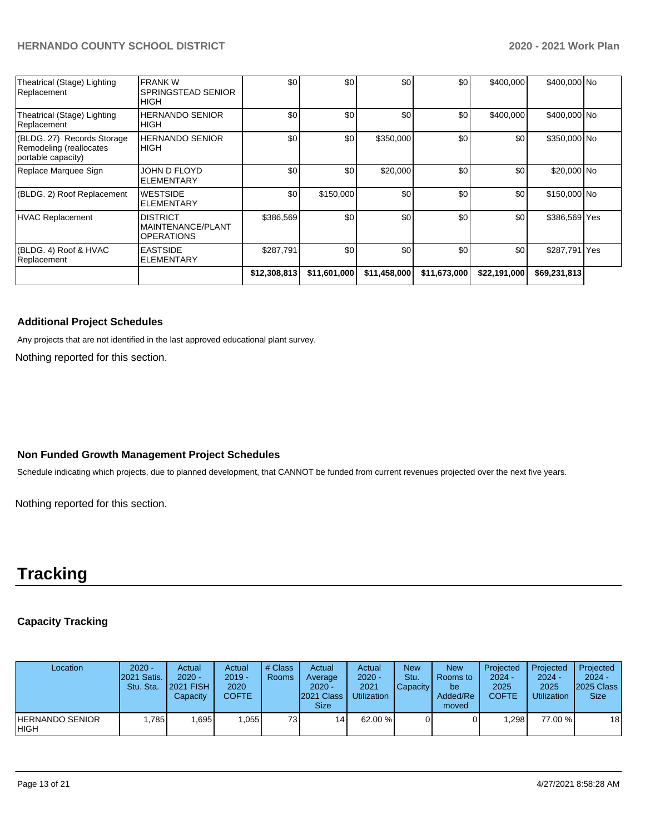| Theatrical (Stage) Lighting<br>Replacement                                  | <b>FRANK W</b><br>SPRINGSTEAD SENIOR<br><b>HIGH</b>       | \$0          | \$0          | \$0          | \$0              | \$400.000    | \$400,000 No  |  |
|-----------------------------------------------------------------------------|-----------------------------------------------------------|--------------|--------------|--------------|------------------|--------------|---------------|--|
| Theatrical (Stage) Lighting<br>Replacement                                  | <b>HERNANDO SENIOR</b><br><b>HIGH</b>                     | \$0          | \$0          | \$0          | \$0              | \$400,000    | \$400,000 No  |  |
| (BLDG. 27) Records Storage<br>Remodeling (reallocates<br>portable capacity) | <b>HERNANDO SENIOR</b><br><b>IHIGH</b>                    | \$0          | \$0          | \$350,000    | \$0              | \$0          | \$350,000 No  |  |
| Replace Marquee Sign                                                        | JOHN D FLOYD<br><b>ELEMENTARY</b>                         | \$0          | \$0          | \$20,000     | \$0              | \$0          | \$20,000 No   |  |
| (BLDG. 2) Roof Replacement                                                  | <b>WESTSIDE</b><br><b>ELEMENTARY</b>                      | \$0          | \$150,000    | \$0          | \$0              | \$0          | \$150,000 No  |  |
| <b>HVAC Replacement</b>                                                     | <b>DISTRICT</b><br>MAINTENANCE/PLANT<br><b>OPERATIONS</b> | \$386,569    | \$0          | \$0          | \$0 <sub>1</sub> | \$0          | \$386,569 Yes |  |
| (BLDG, 4) Roof & HVAC<br>Replacement                                        | <b>EASTSIDE</b><br><b>ELEMENTARY</b>                      | \$287,791    | \$0          | \$0          | \$0              | \$0          | \$287,791 Yes |  |
|                                                                             |                                                           | \$12,308,813 | \$11,601,000 | \$11,458,000 | \$11,673,000     | \$22,191,000 | \$69,231,813  |  |

#### **Additional Project Schedules**

Any projects that are not identified in the last approved educational plant survey.

Nothing reported for this section.

## **Non Funded Growth Management Project Schedules**

Schedule indicating which projects, due to planned development, that CANNOT be funded from current revenues projected over the next five years.

Nothing reported for this section.

## **Tracking**

### **Capacity Tracking**

| Location                       | $2020 -$<br>2021 Satis.<br>Stu. Sta. | Actual<br>$2020 -$<br><b>2021 FISH</b><br>Capacity | Actual<br>$2019 -$<br>2020<br>COFTE | # Class<br>Rooms | Actual<br>Average<br>$2020 -$<br>2021 Class<br><b>Size</b> | Actual<br>$2020 -$<br>2021<br><b>Utilization</b> | <b>New</b><br>Stu.<br>Capacity | <b>New</b><br>Rooms to<br>be<br>Added/Re<br>moved | Projected<br>$2024 -$<br>2025<br><b>COFTE</b> | Projected<br>$2024 -$<br>2025<br><b>Utilization</b> | Projected<br>$2024 -$<br>2025 Class<br><b>Size</b> |
|--------------------------------|--------------------------------------|----------------------------------------------------|-------------------------------------|------------------|------------------------------------------------------------|--------------------------------------------------|--------------------------------|---------------------------------------------------|-----------------------------------------------|-----------------------------------------------------|----------------------------------------------------|
| HERNANDO SENIOR<br><b>HIGH</b> | .7851                                | 1,695                                              | 055.                                | 731              | 14                                                         | 62.00 %                                          |                                |                                                   | .298                                          | 77.00 %                                             | 18                                                 |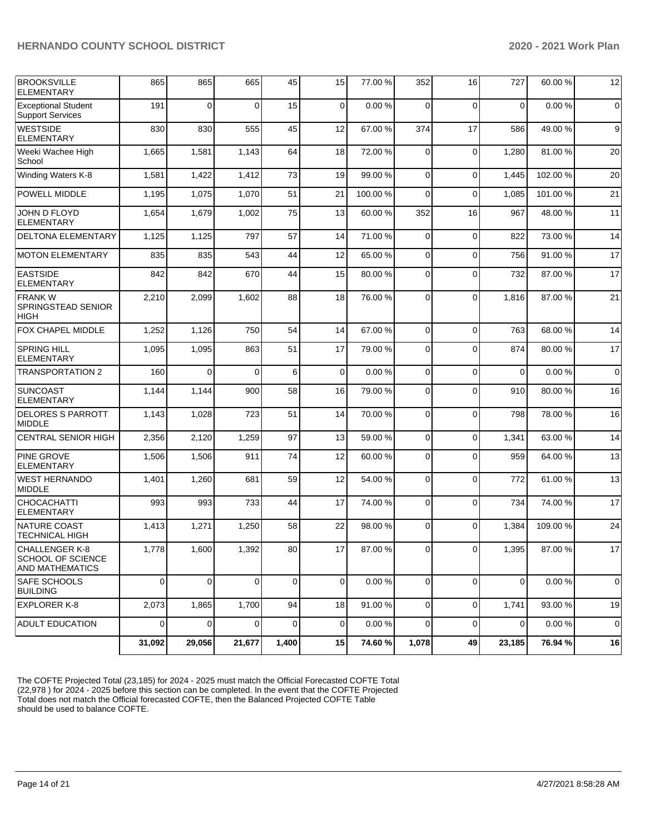| <b>BROOKSVILLE</b><br><b>ELEMENTARY</b>                              | 865      | 865      | 665      | 45          | 15          | 77.00 %   | 352            | 16          | 727            | 60.00%  | 12             |
|----------------------------------------------------------------------|----------|----------|----------|-------------|-------------|-----------|----------------|-------------|----------------|---------|----------------|
| <b>Exceptional Student</b><br><b>Support Services</b>                | 191      | $\Omega$ | 0        | 15          | 0           | 0.00%     | $\Omega$       | $\Omega$    | $\mathbf 0$    | 0.00%   | $\overline{0}$ |
| <b>WESTSIDE</b><br><b>ELEMENTARY</b>                                 | 830      | 830      | 555      | 45          | 12          | 67.00 %   | 374            | 17          | 586            | 49.00 % | $9\,$          |
| Weeki Wachee High<br>School                                          | 1,665    | 1,581    | 1,143    | 64          | 18          | 72.00 %   | $\Omega$       | $\mathbf 0$ | 1,280          | 81.00%  | 20             |
| Winding Waters K-8                                                   | 1,581    | 1,422    | 1,412    | 73          | 19          | 99.00 %   | $\mathbf 0$    | $\mathbf 0$ | 1,445          | 102.00% | 20             |
| POWELL MIDDLE                                                        | 1,195    | 1,075    | 1,070    | 51          | 21          | 100.00%   | $\Omega$       | $\mathbf 0$ | 1,085          | 101.00% | 21             |
| JOHN D FLOYD<br><b>ELEMENTARY</b>                                    | 1,654    | 1,679    | 1,002    | 75          | 13          | 60.00%    | 352            | 16          | 967            | 48.00%  | 11             |
| DELTONA ELEMENTARY                                                   | 1,125    | 1,125    | 797      | 57          | 14          | 71.00 %   | 0              | $\mathbf 0$ | 822            | 73.00 % | 14             |
| <b>MOTON ELEMENTARY</b>                                              | 835      | 835      | 543      | 44          | 12          | 65.00 %   | 0              | $\mathbf 0$ | 756            | 91.00%  | 17             |
| <b>EASTSIDE</b><br>ELEMENTARY                                        | 842      | 842      | 670      | 44          | 15          | 80.00%    | 0              | $\mathbf 0$ | 732            | 87.00 % | 17             |
| <b>FRANKW</b><br>SPRINGSTEAD SENIOR<br><b>HIGH</b>                   | 2,210    | 2,099    | 1,602    | 88          | 18          | 76.00 %   | $\Omega$       | $\mathbf 0$ | 1,816          | 87.00 % | 21             |
| <b>FOX CHAPEL MIDDLE</b>                                             | 1,252    | 1,126    | 750      | 54          | 14          | 67.00 %   | $\Omega$       | $\Omega$    | 763            | 68.00%  | 14             |
| <b>SPRING HILL</b><br>ELEMENTARY                                     | 1,095    | 1,095    | 863      | 51          | 17          | 79.00 %   | $\Omega$       | $\Omega$    | 874            | 80.00%  | 17             |
| <b>TRANSPORTATION 2</b>                                              | 160      | $\Omega$ | 0        | 6           | 0           | 0.00%     | $\mathbf 0$    | $\mathbf 0$ | $\mathbf 0$    | 0.00%   | $\overline{0}$ |
| <b>SUNCOAST</b><br>ELEMENTARY                                        | 1,144    | 1,144    | 900      | 58          | 16          | 79.00 %   | 0              | $\mathbf 0$ | 910            | 80.00%  | 16             |
| <b>DELORES S PARROTT</b><br><b>MIDDLE</b>                            | 1,143    | 1,028    | 723      | 51          | 14          | 70.00%    | $\Omega$       | $\mathbf 0$ | 798            | 78.00 % | 16             |
| <b>CENTRAL SENIOR HIGH</b>                                           | 2,356    | 2,120    | 1,259    | 97          | 13          | 59.00 %   | 0              | $\mathbf 0$ | 1,341          | 63.00 % | 14             |
| <b>PINE GROVE</b><br><b>ELEMENTARY</b>                               | 1,506    | 1,506    | 911      | 74          | 12          | 60.00%    | 0              | $\Omega$    | 959            | 64.00%  | 13             |
| <b>WEST HERNANDO</b><br><b>MIDDLE</b>                                | 1,401    | 1,260    | 681      | 59          | 12          | 54.00 %   | 0              | $\mathbf 0$ | 772            | 61.00%  | 13             |
| CHOCACHATTI<br><b>ELEMENTARY</b>                                     | 993      | 993      | 733      | 44          | 17          | 74.00 %   | $\Omega$       | $\mathbf 0$ | 734            | 74.00 % | 17             |
| <b>NATURE COAST</b><br><b>TECHNICAL HIGH</b>                         | 1,413    | 1,271    | 1,250    | 58          | 22          | 98.00%    | 0              | $\Omega$    | 1,384          | 109.00% | 24             |
| CHALLENGER K-8<br><b>SCHOOL OF SCIENCE</b><br><b>AND MATHEMATICS</b> | 1,778    | 1,600    | 1,392    | 80          | 17          | 87.00 %   | $\overline{0}$ | $\mathbf 0$ | 1,395          | 87.00 % | 17             |
| SAFE SCHOOLS<br><b>BUILDING</b>                                      | $\Omega$ | $\Omega$ | $\Omega$ | $\mathbf 0$ | $\mathbf 0$ | $0.00 \%$ | $\Omega$       | $\Omega$    | $\overline{0}$ | 0.00%   | $\overline{0}$ |
| <b>EXPLORER K-8</b>                                                  | 2,073    | 1,865    | 1,700    | 94          | 18          | 91.00%    | $\mathbf 0$    | $\mathbf 0$ | 1,741          | 93.00 % | 19             |
| <b>ADULT EDUCATION</b>                                               | $\Omega$ | 0        | 0        | 0           | 0           | 0.00%     | $\mathbf 0$    | $\mathbf 0$ | $\Omega$       | 0.00%   | $\overline{0}$ |
|                                                                      | 31,092   | 29,056   | 21,677   | 1,400       | 15          | 74.60%    | 1,078          | 49          | 23,185         | 76.94 % | 16             |

The COFTE Projected Total (23,185) for 2024 - 2025 must match the Official Forecasted COFTE Total (22,978 ) for 2024 - 2025 before this section can be completed. In the event that the COFTE Projected Total does not match the Official forecasted COFTE, then the Balanced Projected COFTE Table should be used to balance COFTE.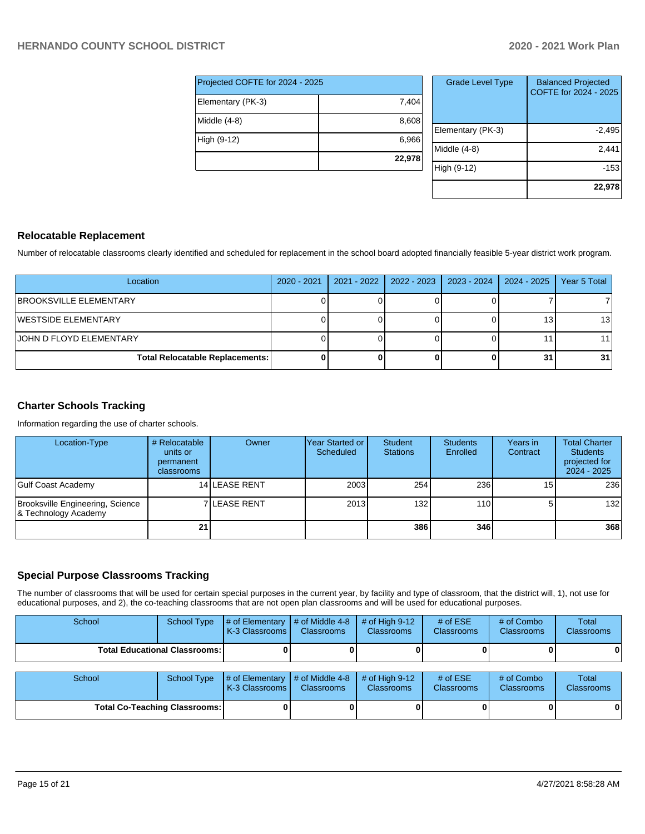| Projected COFTE for 2024 - 2025 |        |  |  |  |  |
|---------------------------------|--------|--|--|--|--|
| Elementary (PK-3)               | 7,404  |  |  |  |  |
| Middle (4-8)                    | 8,608  |  |  |  |  |
| High (9-12)                     | 6,966  |  |  |  |  |
|                                 | 22,978 |  |  |  |  |

| <b>Grade Level Type</b> | <b>Balanced Projected</b><br>COFTE for 2024 - 2025 |
|-------------------------|----------------------------------------------------|
| Elementary (PK-3)       | $-2,495$                                           |
| Middle (4-8)            | 2,441                                              |
| High (9-12)             | $-153$                                             |
|                         | 22,978                                             |

### **Relocatable Replacement**

Number of relocatable classrooms clearly identified and scheduled for replacement in the school board adopted financially feasible 5-year district work program.

| Location                               | 2020 - 2021 | 2021 - 2022 | 2022 - 2023 | 2023 - 2024 | 2024 - 2025 | Year 5 Total    |
|----------------------------------------|-------------|-------------|-------------|-------------|-------------|-----------------|
| <b>BROOKSVILLE ELEMENTARY</b>          |             |             |             |             |             |                 |
| <b>IWESTSIDE ELEMENTARY</b>            |             |             |             |             |             | 13 <sub>1</sub> |
| <b>JOHN D FLOYD ELEMENTARY</b>         |             |             |             |             |             |                 |
| <b>Total Relocatable Replacements:</b> |             |             |             |             | 31          | 31              |

## **Charter Schools Tracking**

Information regarding the use of charter schools.

| Location-Type                                            | # Relocatable<br>units or<br>permanent<br>classrooms | Owner                | lYear Started or<br>Scheduled | Student<br><b>Stations</b> | <b>Students</b><br>Enrolled | Years in<br>Contract | <b>Total Charter</b><br><b>Students</b><br>projected for<br>2024 - 2025 |
|----------------------------------------------------------|------------------------------------------------------|----------------------|-------------------------------|----------------------------|-----------------------------|----------------------|-------------------------------------------------------------------------|
| Gulf Coast Academy                                       |                                                      | <b>14 LEASE RENT</b> | 2003                          | 254                        | 236                         | 15 <sub>1</sub>      | 236                                                                     |
| Brooksville Engineering, Science<br>8 Technology Academy |                                                      | <b>7ILEASE RENT</b>  | 2013                          | 132 <sub>l</sub>           | 110 <sup>1</sup>            | 51                   | 132                                                                     |
|                                                          | 21                                                   |                      |                               | 3861                       | 346                         |                      | 368                                                                     |

#### **Special Purpose Classrooms Tracking**

The number of classrooms that will be used for certain special purposes in the current year, by facility and type of classroom, that the district will, 1), not use for educational purposes, and 2), the co-teaching classrooms that are not open plan classrooms and will be used for educational purposes.

| School                               | <b>School Type</b> | # of Elementary<br>K-3 Classrooms | # of Middle 4-8<br><b>Classrooms</b> | # of High $9-12$<br><b>Classrooms</b> | # of $ESE$<br>Classrooms | # of Combo<br><b>Classrooms</b> | Total<br><b>Classrooms</b> |
|--------------------------------------|--------------------|-----------------------------------|--------------------------------------|---------------------------------------|--------------------------|---------------------------------|----------------------------|
| <b>Total Educational Classrooms:</b> |                    |                                   |                                      |                                       |                          |                                 | 0                          |
| School                               | School Type        | # of Elementary<br>K-3 Classrooms | # of Middle 4-8<br><b>Classrooms</b> | # of High $9-12$<br><b>Classrooms</b> | # of $ESE$<br>Classrooms | # of Combo<br><b>Classrooms</b> | Total<br><b>Classrooms</b> |
| <b>Total Co-Teaching Classrooms:</b> |                    |                                   |                                      |                                       |                          | 0                               | 0                          |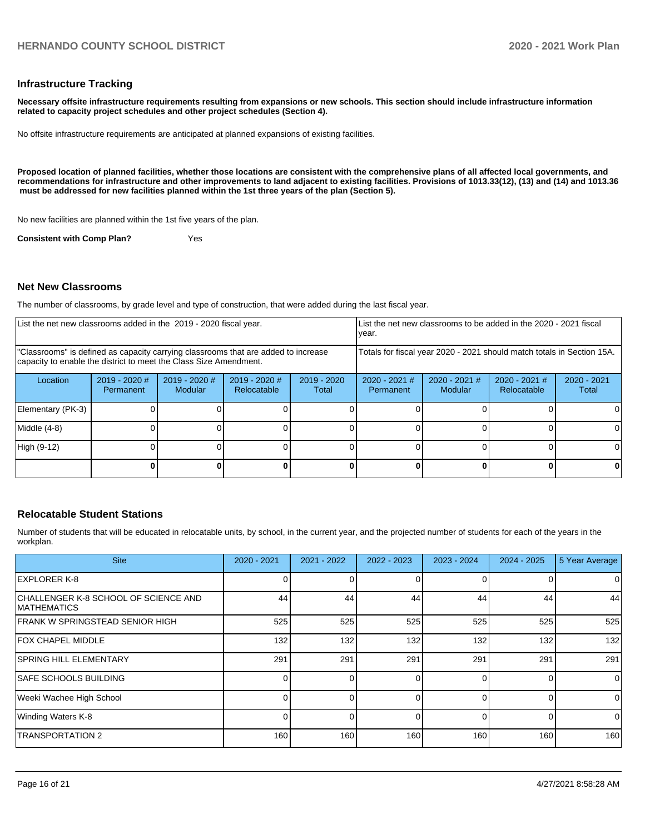#### **Infrastructure Tracking**

**Necessary offsite infrastructure requirements resulting from expansions or new schools. This section should include infrastructure information related to capacity project schedules and other project schedules (Section 4).** 

No offsite infrastructure requirements are anticipated at planned expansions of existing facilities.

**Proposed location of planned facilities, whether those locations are consistent with the comprehensive plans of all affected local governments, and recommendations for infrastructure and other improvements to land adjacent to existing facilities. Provisions of 1013.33(12), (13) and (14) and 1013.36 must be addressed for new facilities planned within the 1st three years of the plan (Section 5).** 

No new facilities are planned within the 1st five years of the plan.

**Consistent with Comp Plan?** Yes

#### **Net New Classrooms**

The number of classrooms, by grade level and type of construction, that were added during the last fiscal year.

| List the net new classrooms added in the 2019 - 2020 fiscal year.                                                                                       |                              |                                   |                                | List the net new classrooms to be added in the 2020 - 2021 fiscal<br>year. |                              |                            |                                |                        |
|---------------------------------------------------------------------------------------------------------------------------------------------------------|------------------------------|-----------------------------------|--------------------------------|----------------------------------------------------------------------------|------------------------------|----------------------------|--------------------------------|------------------------|
| "Classrooms" is defined as capacity carrying classrooms that are added to increase<br>capacity to enable the district to meet the Class Size Amendment. |                              |                                   |                                | Totals for fiscal year 2020 - 2021 should match totals in Section 15A.     |                              |                            |                                |                        |
| Location                                                                                                                                                | $2019 - 2020$ #<br>Permanent | $2019 - 2020$ #<br><b>Modular</b> | $2019 - 2020$ #<br>Relocatable | $2019 - 2020$<br>Total                                                     | $2020 - 2021$ #<br>Permanent | $2020 - 2021$ #<br>Modular | $2020 - 2021$ #<br>Relocatable | $2020 - 2021$<br>Total |
| Elementary (PK-3)                                                                                                                                       |                              |                                   |                                |                                                                            |                              |                            |                                |                        |
| Middle (4-8)                                                                                                                                            |                              |                                   |                                |                                                                            |                              |                            |                                |                        |
| High (9-12)                                                                                                                                             |                              |                                   |                                |                                                                            |                              |                            |                                |                        |
|                                                                                                                                                         |                              |                                   |                                |                                                                            |                              |                            |                                |                        |

#### **Relocatable Student Stations**

Number of students that will be educated in relocatable units, by school, in the current year, and the projected number of students for each of the years in the workplan.

| <b>Site</b>                                                 | $2020 - 2021$ | 2021 - 2022 | $2022 - 2023$ | $2023 - 2024$ | $2024 - 2025$ | 5 Year Average |
|-------------------------------------------------------------|---------------|-------------|---------------|---------------|---------------|----------------|
| <b>EXPLORER K-8</b>                                         |               |             |               |               |               | 0              |
| CHALLENGER K-8 SCHOOL OF SCIENCE AND<br><b>IMATHEMATICS</b> | 44            | 44          | 44            | 44            | 44            | 44             |
| <b>FRANK W SPRINGSTEAD SENIOR HIGH</b>                      | 525           | 525         | 525           | 525           | 525           | 525            |
| <b>FOX CHAPEL MIDDLE</b>                                    | 132           | 132         | 132           | 132           | 132           | 132            |
| <b>SPRING HILL ELEMENTARY</b>                               | 291           | 291         | 291           | 291           | 291           | 291            |
| <b>SAFE SCHOOLS BUILDING</b>                                |               | ΩI          | $\Omega$      | 0             | 0             | $\mathbf 0$    |
| Weeki Wachee High School                                    |               | ΩI          | $\Omega$      |               | $\Omega$      | $\mathbf 0$    |
| <b>Winding Waters K-8</b>                                   |               | ΩI          | $\Omega$      |               | 0             | $\mathbf 0$    |
| <b>TRANSPORTATION 2</b>                                     | 160           | 160         | 160           | 160           | 160           | 160            |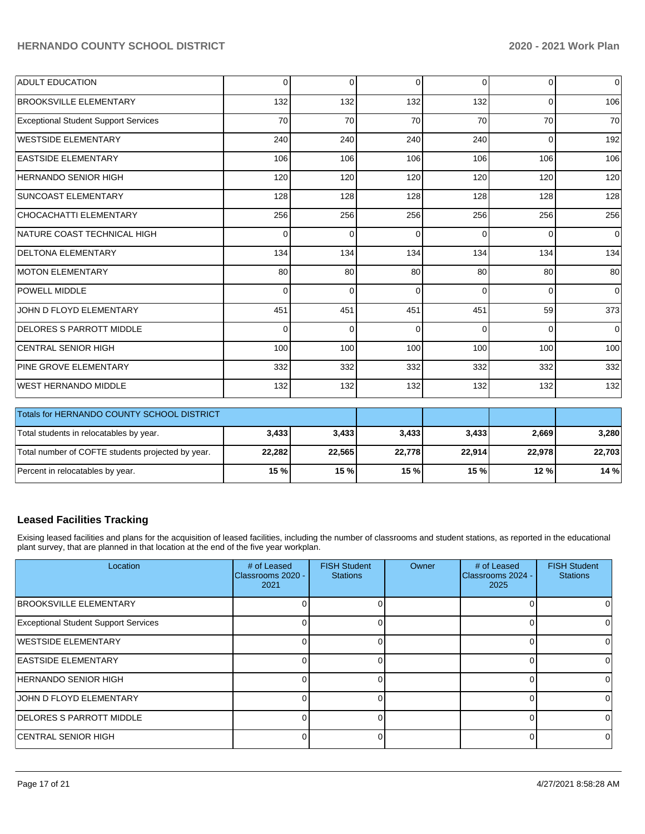| <b>ADULT EDUCATION</b>                      | $\Omega$ | $\Omega$ | $\Omega$    | $\Omega$ | $\overline{0}$ | $\overline{0}$ |
|---------------------------------------------|----------|----------|-------------|----------|----------------|----------------|
| <b>BROOKSVILLE ELEMENTARY</b>               | 132      | 132      | 132         | 132      | $\mathbf 0$    | 106            |
| <b>Exceptional Student Support Services</b> | 70       | 70       | 70          | 70       | 70             | 70             |
| WESTSIDE ELEMENTARY                         | 240      | 240      | 240         | 240      | $\mathbf 0$    | 192            |
| <b>EASTSIDE ELEMENTARY</b>                  | 106      | 106      | 106         | 106      | 106            | 106            |
| HERNANDO SENIOR HIGH                        | 120      | 120      | 120         | 120      | 120            | 120            |
| <b>SUNCOAST ELEMENTARY</b>                  | 128      | 128      | 128         | 128      | 128            | 128            |
| CHOCACHATTI ELEMENTARY                      | 256      | 256      | 256         | 256      | 256            | 256            |
| INATURE COAST TECHNICAL HIGH                | 0        | $\Omega$ | $\mathbf 0$ | $\Omega$ | $\Omega$       | $\overline{0}$ |
| <b>DELTONA ELEMENTARY</b>                   | 134      | 134      | 134         | 134      | 134            | 134            |
| <b>MOTON ELEMENTARY</b>                     | 80       | 80       | 80          | 80       | 80             | 80             |
| <b>POWELL MIDDLE</b>                        | $\Omega$ | $\Omega$ | $\Omega$    | $\Omega$ | $\Omega$       | $\overline{0}$ |
| JOHN D FLOYD ELEMENTARY                     | 451      | 451      | 451         | 451      | 59             | 373            |
| <b>DELORES S PARROTT MIDDLE</b>             | $\Omega$ | $\Omega$ | $\Omega$    | $\Omega$ | $\Omega$       | $\overline{0}$ |
| <b>CENTRAL SENIOR HIGH</b>                  | 100      | 100      | 100         | 100      | 100            | 100            |
| <b>PINE GROVE ELEMENTARY</b>                | 332      | 332      | 332         | 332      | 332            | 332            |
| WEST HERNANDO MIDDLE                        | 132      | 132      | 132         | 132      | 132            | 132            |

| Totals for HERNANDO COUNTY SCHOOL DISTRICT        |        |        |        |        |        |        |
|---------------------------------------------------|--------|--------|--------|--------|--------|--------|
| Total students in relocatables by year.           | 3,433  | 3,433  | 3,433  | 3.433  | 2,669  | 3,280  |
| Total number of COFTE students projected by year. | 22,282 | 22,565 | 22,778 | 22.914 | 22.978 | 22,703 |
| Percent in relocatables by year.                  | 15%    | 15 %   | 15%    | 15%    | 12%    | 14%    |

## **Leased Facilities Tracking**

Exising leased facilities and plans for the acquisition of leased facilities, including the number of classrooms and student stations, as reported in the educational plant survey, that are planned in that location at the end of the five year workplan.

| Location                                    | # of Leased<br>Classrooms 2020 -<br>2021 | <b>FISH Student</b><br><b>Stations</b> | Owner | # of Leased<br>Classrooms 2024 -<br>2025 | <b>FISH Student</b><br><b>Stations</b> |
|---------------------------------------------|------------------------------------------|----------------------------------------|-------|------------------------------------------|----------------------------------------|
| <b>BROOKSVILLE ELEMENTARY</b>               |                                          |                                        |       |                                          |                                        |
| <b>Exceptional Student Support Services</b> |                                          |                                        |       |                                          |                                        |
| <b>IWESTSIDE ELEMENTARY</b>                 |                                          |                                        |       |                                          |                                        |
| <b>EASTSIDE ELEMENTARY</b>                  |                                          |                                        |       |                                          |                                        |
| HERNANDO SENIOR HIGH                        |                                          |                                        |       |                                          | <sup>0</sup>                           |
| <b>JOHN D FLOYD ELEMENTARY</b>              |                                          |                                        |       |                                          | 0                                      |
| <b>DELORES S PARROTT MIDDLE</b>             |                                          |                                        |       |                                          | 0                                      |
| <b>ICENTRAL SENIOR HIGH</b>                 |                                          |                                        |       |                                          | $\Omega$                               |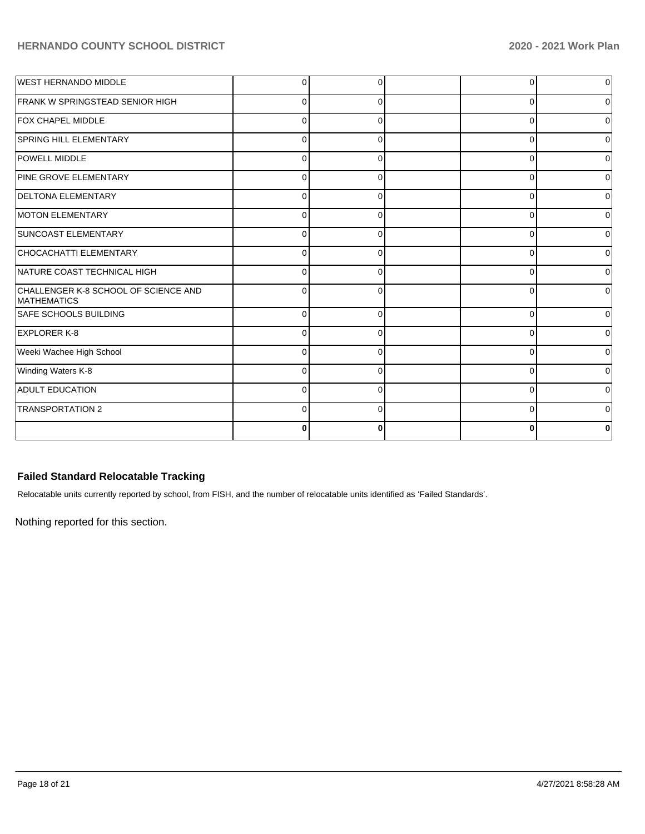| <b>WEST HERNANDO MIDDLE</b>                                | C        | C        | $\Omega$    | <sup>0</sup> |
|------------------------------------------------------------|----------|----------|-------------|--------------|
| FRANK W SPRINGSTEAD SENIOR HIGH                            | r        |          | $\Omega$    |              |
| <b>FOX CHAPEL MIDDLE</b>                                   | $\Omega$ |          | 0           |              |
| <b>SPRING HILL ELEMENTARY</b>                              | $\Omega$ | O        | $\Omega$    |              |
| POWELL MIDDLE                                              | $\Omega$ | 0        | $\Omega$    |              |
| PINE GROVE ELEMENTARY                                      | $\Omega$ | 0        | 0           |              |
| <b>DELTONA ELEMENTARY</b>                                  | C        | $\Omega$ | 0           |              |
| <b>MOTON ELEMENTARY</b>                                    | $\Omega$ | 0        | 0           |              |
| <b>SUNCOAST ELEMENTARY</b>                                 | 0        | $\Omega$ | 0           |              |
| CHOCACHATTI ELEMENTARY                                     | $\Omega$ | $\Omega$ | 0           |              |
| NATURE COAST TECHNICAL HIGH                                | $\Omega$ | 0        | $\Omega$    |              |
| CHALLENGER K-8 SCHOOL OF SCIENCE AND<br><b>MATHEMATICS</b> | $\Omega$ | $\Omega$ | $\Omega$    |              |
| <b>SAFE SCHOOLS BUILDING</b>                               | $\Omega$ | $\Omega$ | $\Omega$    |              |
| <b>EXPLORER K-8</b>                                        | C        | O        | 0           |              |
| Weeki Wachee High School                                   | $\Omega$ | 0        | $\Omega$    |              |
| Winding Waters K-8                                         | $\Omega$ | O        | 0           |              |
| <b>ADULT EDUCATION</b>                                     | $\Omega$ | $\Omega$ | $\mathbf 0$ |              |
| <b>TRANSPORTATION 2</b>                                    | C        | $\Omega$ | $\Omega$    |              |
|                                                            | O        | 0        | $\bf{0}$    |              |

## **Failed Standard Relocatable Tracking**

Relocatable units currently reported by school, from FISH, and the number of relocatable units identified as 'Failed Standards'.

Nothing reported for this section.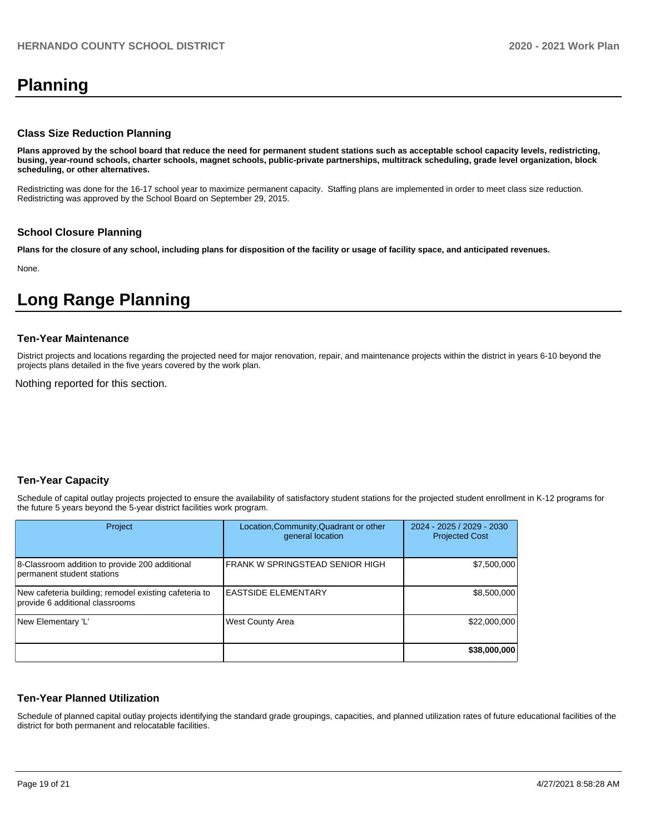# **Planning**

#### **Class Size Reduction Planning**

**Plans approved by the school board that reduce the need for permanent student stations such as acceptable school capacity levels, redistricting, busing, year-round schools, charter schools, magnet schools, public-private partnerships, multitrack scheduling, grade level organization, block scheduling, or other alternatives.**

Redistricting was done for the 16-17 school year to maximize permanent capacity. Staffing plans are implemented in order to meet class size reduction. Redistricting was approved by the School Board on September 29, 2015.

#### **School Closure Planning**

**Plans for the closure of any school, including plans for disposition of the facility or usage of facility space, and anticipated revenues.** 

None.

# **Long Range Planning**

#### **Ten-Year Maintenance**

District projects and locations regarding the projected need for major renovation, repair, and maintenance projects within the district in years 6-10 beyond the projects plans detailed in the five years covered by the work plan.

Nothing reported for this section.

## **Ten-Year Capacity**

Schedule of capital outlay projects projected to ensure the availability of satisfactory student stations for the projected student enrollment in K-12 programs for the future 5 years beyond the 5-year district facilities work program.

| Project                                                                                  | Location, Community, Quadrant or other<br>general location | 2024 - 2025 / 2029 - 2030<br><b>Projected Cost</b> |
|------------------------------------------------------------------------------------------|------------------------------------------------------------|----------------------------------------------------|
| 8-Classroom addition to provide 200 additional<br>permanent student stations             | IFRANK W SPRINGSTEAD SENIOR HIGH                           | \$7,500,000                                        |
| New cafeteria building; remodel existing cafeteria to<br>provide 6 additional classrooms | <b>EASTSIDE ELEMENTARY</b>                                 | \$8,500,000                                        |
| New Elementary 'L'                                                                       | <b>West County Area</b>                                    | \$22,000,000                                       |
|                                                                                          |                                                            | \$38,000,000                                       |

#### **Ten-Year Planned Utilization**

Schedule of planned capital outlay projects identifying the standard grade groupings, capacities, and planned utilization rates of future educational facilities of the district for both permanent and relocatable facilities.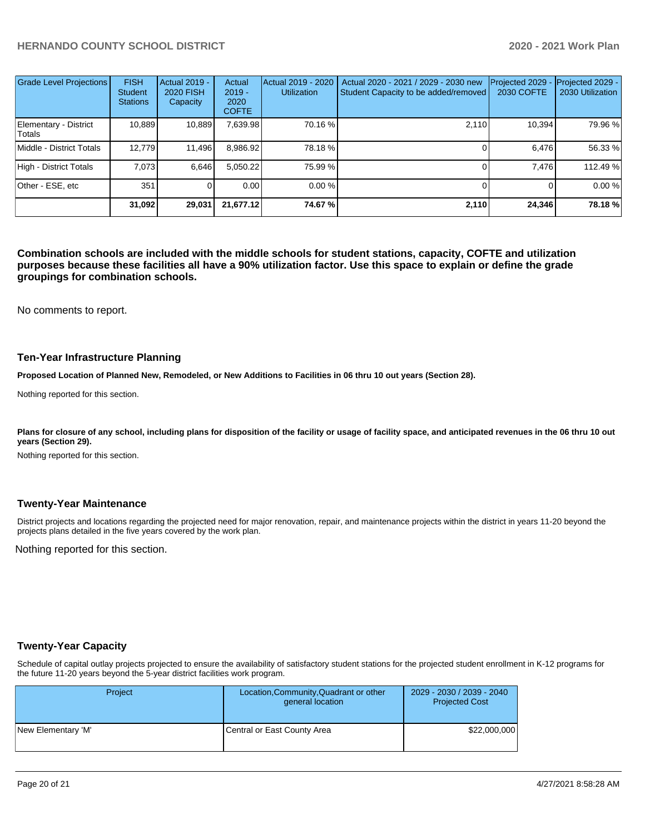| <b>Grade Level Projections</b>  | <b>FISH</b><br><b>Student</b><br><b>Stations</b> | <b>Actual 2019 -</b><br><b>2020 FISH</b><br>Capacity | Actual<br>$2019 -$<br>2020<br><b>COFTE</b> | Actual 2019 - 2020<br><b>Utilization</b> | Actual 2020 - 2021 / 2029 - 2030 new<br>Student Capacity to be added/removed | Projected 2029<br>2030 COFTE | Projected 2029 -<br>2030 Utilization |
|---------------------------------|--------------------------------------------------|------------------------------------------------------|--------------------------------------------|------------------------------------------|------------------------------------------------------------------------------|------------------------------|--------------------------------------|
| Elementary - District<br>Totals | 10.889                                           | 10,889                                               | 7,639.98                                   | 70.16 %                                  | 2,110                                                                        | 10,394                       | 79.96 %                              |
| Middle - District Totals        | 12.779                                           | 11,496                                               | 8,986.92                                   | 78.18 %                                  |                                                                              | 6.476                        | 56.33 %                              |
| High - District Totals          | 7.073                                            | 6,646                                                | 5,050.22                                   | 75.99 %                                  |                                                                              | 7.476                        | 112.49 %                             |
| Other - ESE, etc                | 351                                              |                                                      | 0.00                                       | 0.00%                                    |                                                                              |                              | 0.00 %                               |
|                                 | 31,092                                           | 29,031                                               | 21,677.12                                  | 74.67%                                   | 2,110                                                                        | 24,346                       | 78.18 %                              |

**Combination schools are included with the middle schools for student stations, capacity, COFTE and utilization purposes because these facilities all have a 90% utilization factor. Use this space to explain or define the grade groupings for combination schools.** 

No comments to report.

#### **Ten-Year Infrastructure Planning**

**Proposed Location of Planned New, Remodeled, or New Additions to Facilities in 06 thru 10 out years (Section 28).**

Nothing reported for this section.

Plans for closure of any school, including plans for disposition of the facility or usage of facility space, and anticipated revenues in the 06 thru 10 out **years (Section 29).**

Nothing reported for this section.

#### **Twenty-Year Maintenance**

District projects and locations regarding the projected need for major renovation, repair, and maintenance projects within the district in years 11-20 beyond the projects plans detailed in the five years covered by the work plan.

Nothing reported for this section.

#### **Twenty-Year Capacity**

Schedule of capital outlay projects projected to ensure the availability of satisfactory student stations for the projected student enrollment in K-12 programs for the future 11-20 years beyond the 5-year district facilities work program.

| <b>Project</b>     | Location, Community, Quadrant or other<br>general location | 2029 - 2030 / 2039 - 2040<br><b>Projected Cost</b> |
|--------------------|------------------------------------------------------------|----------------------------------------------------|
| New Elementary 'M' | Central or East County Area                                | \$22,000,000                                       |